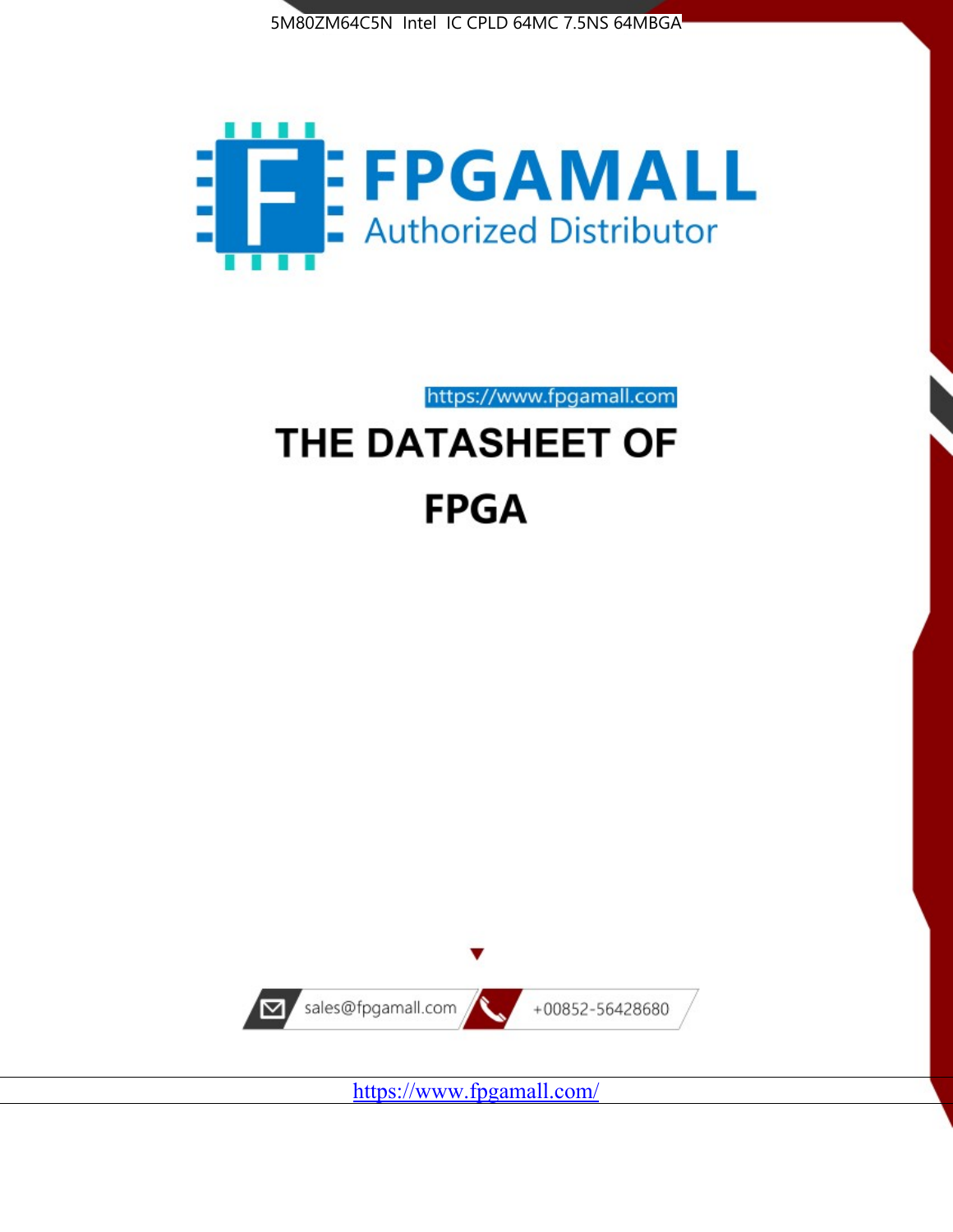



https://www.fpgamall.com

# THE DATASHEET OF **FPGA**



<https://www.fpgamall.com/>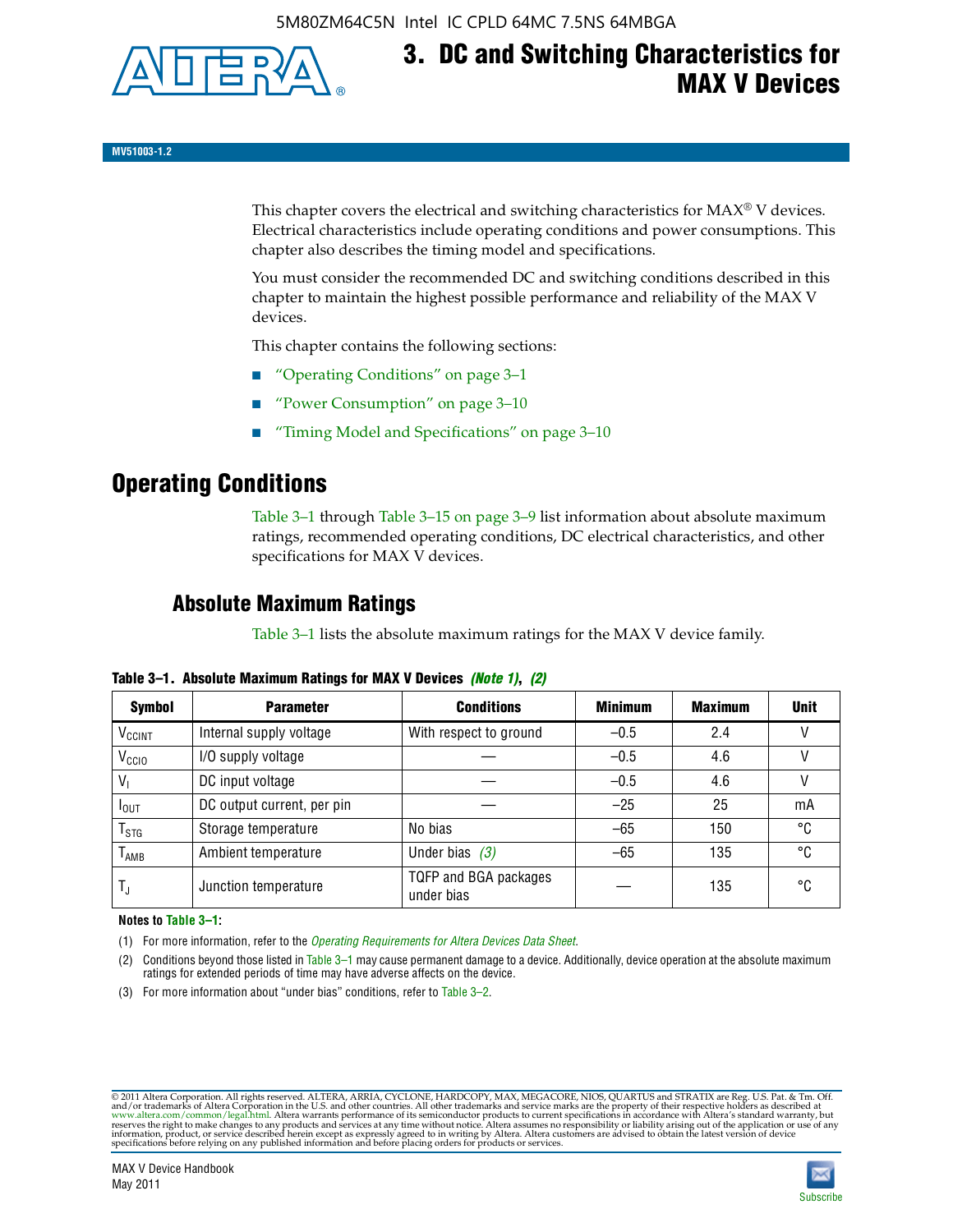

# **3. DC and Switching Characteristics for MAX V Devices**

**MV51003-1.2**

This chapter covers the electrical and switching characteristics for  $MAX^{\circ}$  V devices. Electrical characteristics include operating conditions and power consumptions. This chapter also describes the timing model and specifications.

You must consider the recommended DC and switching conditions described in this chapter to maintain the highest possible performance and reliability of the MAX V devices.

This chapter contains the following sections:

- "Operating Conditions" on page 3–1
- "Power Consumption" on page 3–10
- "Timing Model and Specifications" on page 3–10

## **Operating Conditions**

Table 3–1 through Table 3–15 on page 3–9 list information about absolute maximum ratings, recommended operating conditions, DC electrical characteristics, and other specifications for MAX V devices.

### **Absolute Maximum Ratings**

Table 3–1 lists the absolute maximum ratings for the MAX V device family.

| <b>Symbol</b>               | <b>Parameter</b>           | <b>Conditions</b>                   | <b>Minimum</b> | <b>Maximum</b> | <b>Unit</b> |
|-----------------------------|----------------------------|-------------------------------------|----------------|----------------|-------------|
| V <sub>CCINT</sub>          | Internal supply voltage    | With respect to ground              | $-0.5$         | 2.4            |             |
| V <sub>CCIO</sub>           | I/O supply voltage         |                                     | $-0.5$         | 4.6            |             |
| $V_1$                       | DC input voltage           |                                     | $-0.5$         | 4.6            |             |
| $I_{\text{OUT}}$            | DC output current, per pin |                                     | $-25$          | 25             | mA          |
| $\mathsf{T}_{\textsf{STG}}$ | Storage temperature        | No bias                             | $-65$          | 150            | °C          |
| $T_{AMB}$                   | Ambient temperature        | Under bias $(3)$                    | $-65$          | 135            | °C          |
| $T_{\text{J}}$              | Junction temperature       | TQFP and BGA packages<br>under bias |                | 135            | ۰c          |

**Table 3–1. Absolute Maximum Ratings for MAX V Devices** *(Note 1)***,** *(2)*

**Notes to Table 3–1:**

(1) For more information, refer to the *[Operating Requirements for Altera Devices Data Sheet](http://www.altera.com/literature/ds/dsoprq.pdf)*.

(2) Conditions beyond those listed in Table 3–1 may cause permanent damage to a device. Additionally, device operation at the absolute maximum ratings for extended periods of time may have adverse affects on the device.

(3) For more information about "under bias" conditions, refer to Table 3–2.

@2011 Altera Corporation. All rights reserved. ALTERA, ARRIA, CYCLONE, HARDCOPY, MAX, MEGACORE, NIOS, QUARTUS and STRATIX are Reg. U.S. Pat. & Tm. Off. [and/or trademarks of Altera Corporat](http://www.altera.com/common/legal.html)ion in the U.S. and other countrie

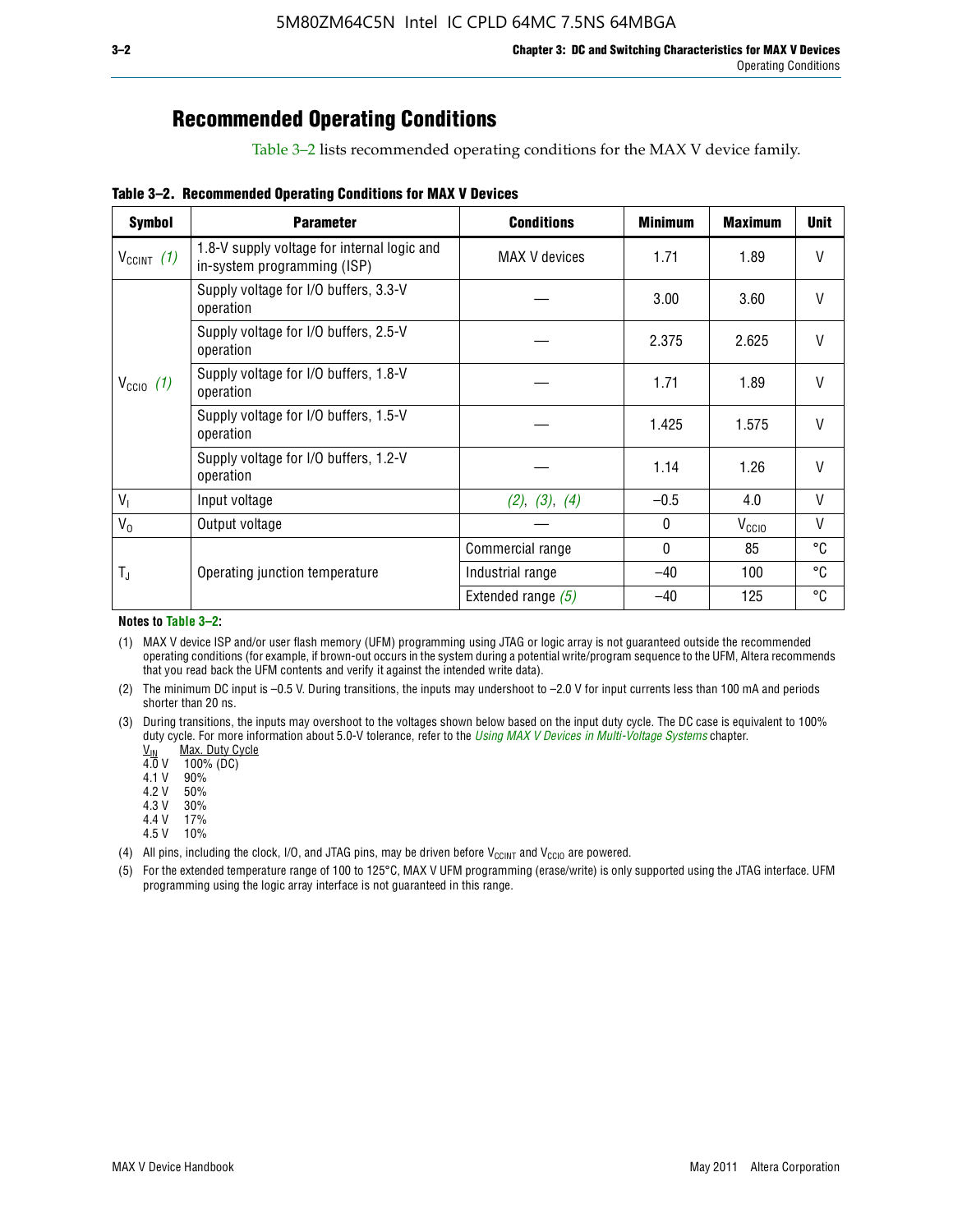# **Recommended Operating Conditions**

Table 3–2 lists recommended operating conditions for the MAX V device family.

**Table 3–2. Recommended Operating Conditions for MAX V Devices**

| <b>Symbol</b>        | <b>Parameter</b>                                                           | <b>Conditions</b>    | <b>Minimum</b> | <b>Maximum</b>    | <b>Unit</b>  |
|----------------------|----------------------------------------------------------------------------|----------------------|----------------|-------------------|--------------|
| $V_{CClNT}$ (1)      | 1.8-V supply voltage for internal logic and<br>in-system programming (ISP) | <b>MAX V</b> devices | 1.71           | 1.89              | V            |
|                      | Supply voltage for I/O buffers, 3.3-V<br>operation                         |                      | 3.00           | 3.60              | $\mathsf{V}$ |
| $V_{\text{CCIO}}(1)$ | Supply voltage for I/O buffers, 2.5-V<br>operation                         |                      | 2.375          | 2.625             | V            |
|                      | Supply voltage for I/O buffers, 1.8-V<br>operation                         |                      | 1.71           | 1.89              | $\mathsf{V}$ |
|                      | Supply voltage for I/O buffers, 1.5-V<br>operation                         |                      | 1.425          | 1.575             | $\mathsf{V}$ |
|                      | Supply voltage for I/O buffers, 1.2-V<br>operation                         |                      | 1.14           | 1.26              | V            |
| $V_{1}$              | Input voltage                                                              | (2), (3), (4)        | $-0.5$         | 4.0               | V            |
| $V_0$                | Output voltage                                                             |                      | 0              | V <sub>CCIO</sub> | V            |
|                      |                                                                            | Commercial range     | 0              | 85                | °C           |
| T,                   | Operating junction temperature                                             | Industrial range     | $-40$          | 100               | °C           |
|                      |                                                                            | Extended range $(5)$ | $-40$          | 125               | °C           |

#### **Notes to Table 3–2:**

(1) MAX V device ISP and/or user flash memory (UFM) programming using JTAG or logic array is not guaranteed outside the recommended operating conditions (for example, if brown-out occurs in the system during a potential write/program sequence to the UFM, Altera recommends that you read back the UFM contents and verify it against the intended write data).

(2) The minimum DC input is –0.5 V. During transitions, the inputs may undershoot to –2.0 V for input currents less than 100 mA and periods shorter than 20 ns.

(3) During transitions, the inputs may overshoot to the voltages shown below based on the input duty cycle. The DC case is equivalent to 100% duty cycle. For more information about 5.0-V tolerance, refer to the *Using MAX V Devices in Multi-Voltage Systems* chapter.<br>
<u>V<sub>IN</sub> Max. Duty Cycle</u><br>
4.0 V 100% (DC)

Max. Duty Cycle

 $100\%$  (DC)<br>90%

 $4.1 V$ 

4.2 V 50%

4.3 V 30%<br>4.4 V 17%

4.4 V 4.5 V 10%

(4) All pins, including the clock, I/O, and JTAG pins, may be driven before  $V_{C C I N T}$  and  $V_{C C I O}$  are powered.

(5) For the extended temperature range of 100 to 125°C, MAX V UFM programming (erase/write) is only supported using the JTAG interface. UFM programming using the logic array interface is not guaranteed in this range.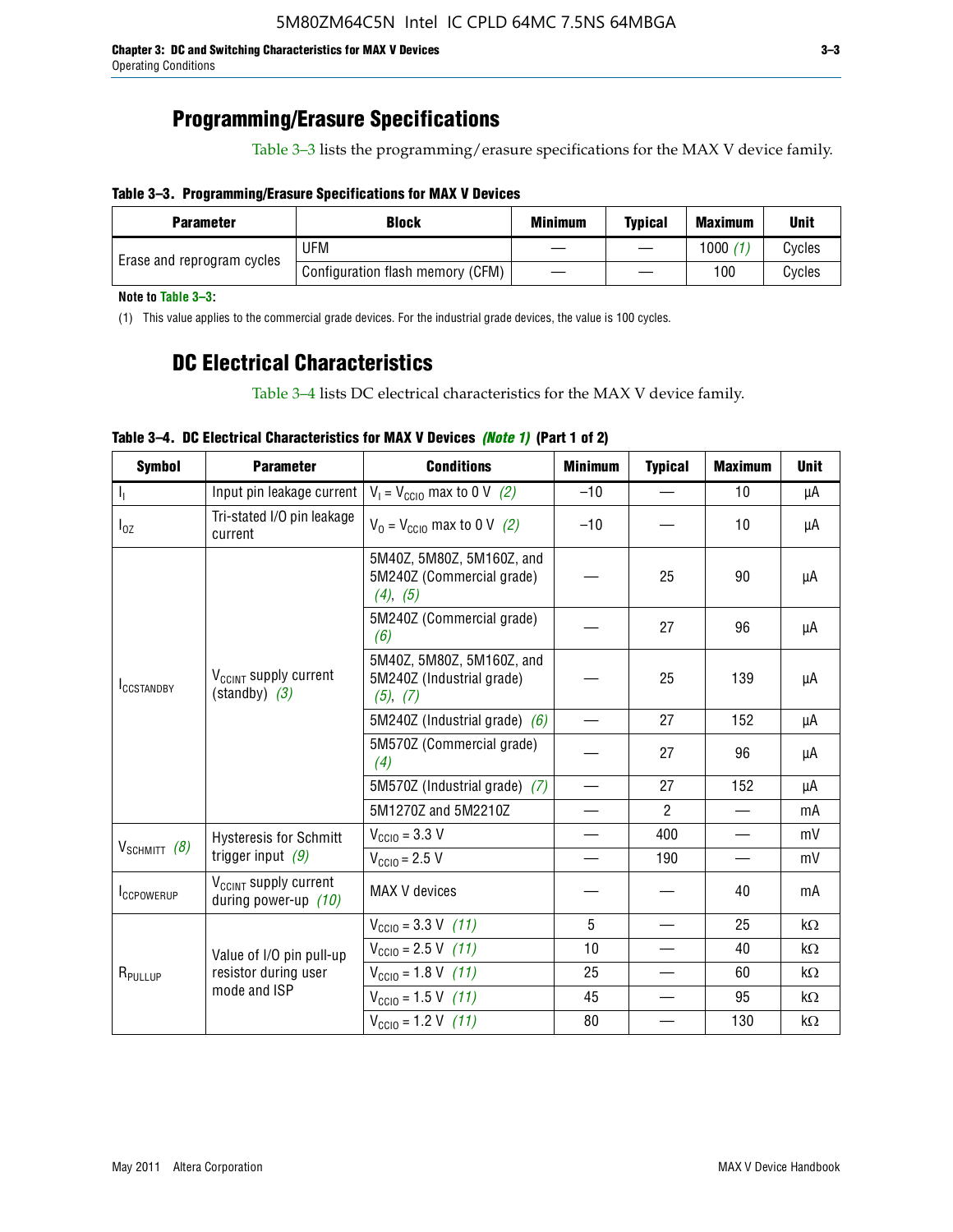### **Programming/Erasure Specifications**

Table 3–3 lists the programming/erasure specifications for the MAX V device family.

#### **Table 3–3. Programming/Erasure Specifications for MAX V Devices**

| <b>Parameter</b>           | <b>Block</b>                     | <b>Minimum</b> | <b>Typical</b> | <b>Maximum</b> | <b>Unit</b> |
|----------------------------|----------------------------------|----------------|----------------|----------------|-------------|
| Erase and reprogram cycles | UFM                              |                |                | 1000           | Cycles      |
|                            | Configuration flash memory (CFM) |                |                | 100            | Cvcles      |

**Note to Table 3–3:**

(1) This value applies to the commercial grade devices. For the industrial grade devices, the value is 100 cycles.

### **DC Electrical Characteristics**

Table 3–4 lists DC electrical characteristics for the MAX V device family.

| <b>Symbol</b>       | <b>Parameter</b>                                            | <b>Conditions</b>                                                  | <b>Minimum</b>                | <b>Typical</b> | <b>Maximum</b>           | <b>Unit</b> |
|---------------------|-------------------------------------------------------------|--------------------------------------------------------------------|-------------------------------|----------------|--------------------------|-------------|
| Т,                  | Input pin leakage current                                   | $V_1 = V_{\text{CC10}}$ max to 0 V (2)                             | $-10$                         |                | 10                       | μA          |
| $I_{0Z}$            | Tri-stated I/O pin leakage<br>current                       | $V_0 = V_{\text{CC10}}$ max to 0 V (2)                             | $-10$                         |                | 10                       | μA          |
|                     |                                                             | 5M40Z, 5M80Z, 5M160Z, and<br>5M240Z (Commercial grade)<br>(4), (5) |                               | 25             | 90                       | μA          |
|                     |                                                             | 5M240Z (Commercial grade)<br>(6)                                   |                               | 27             | 96                       | μA          |
| <b>ICCSTANDBY</b>   | V <sub>CCINT</sub> supply current<br>$(statably)$ (3)       | 5M40Z, 5M80Z, 5M160Z, and<br>5M240Z (Industrial grade)<br>(5), (7) |                               | 25             | 139                      | μA          |
|                     |                                                             | 5M240Z (Industrial grade) $(6)$                                    |                               | 27             | 152                      | μA          |
|                     |                                                             | 5M570Z (Commercial grade)<br>(4)                                   |                               | 27             | 96                       | μA          |
|                     |                                                             | 5M570Z (Industrial grade) (7)                                      |                               | 27             | 152                      | μA          |
|                     |                                                             | 5M1270Z and 5M2210Z                                                | $\overbrace{\phantom{aaaaa}}$ | $\mathcal{P}$  |                          | mA          |
|                     | <b>Hysteresis for Schmitt</b>                               | $V_{\text{CC10}} = 3.3 \text{ V}$                                  | $\qquad \qquad$               | 400            | $\overline{\phantom{0}}$ | mV          |
| $V_{SCHMIT}$ (8)    | trigger input $(9)$                                         | $V_{\text{CC10}} = 2.5 V$                                          |                               | 190            |                          | mV          |
| <b>ICCPOWERUP</b>   | V <sub>CCINT</sub> supply current<br>during power-up $(10)$ | MAX V devices                                                      |                               |                | 40                       | mA          |
|                     |                                                             | $V_{\text{CC10}} = 3.3 \text{ V} (11)$                             | 5                             |                | 25                       | kΩ          |
|                     | Value of I/O pin pull-up                                    | $V_{\text{CGI0}} = 2.5 \text{ V}$ (11)                             | 10                            |                | 40                       | kΩ          |
| R <sub>PULLUP</sub> | resistor during user                                        | $V_{\text{CC10}} = 1.8 \text{ V} (11)$                             | 25                            |                | 60                       | kΩ          |
|                     | mode and ISP                                                | $V_{\text{CC10}} = 1.5 \text{ V} (11)$                             | 45                            |                | 95                       | kΩ          |
|                     |                                                             | $V_{\text{CC10}} = 1.2 \text{ V} (11)$                             | 80                            |                | 130                      | kΩ          |

### **Table 3–4. DC Electrical Characteristics for MAX V Devices** *(Note 1)* **(Part 1 of 2)**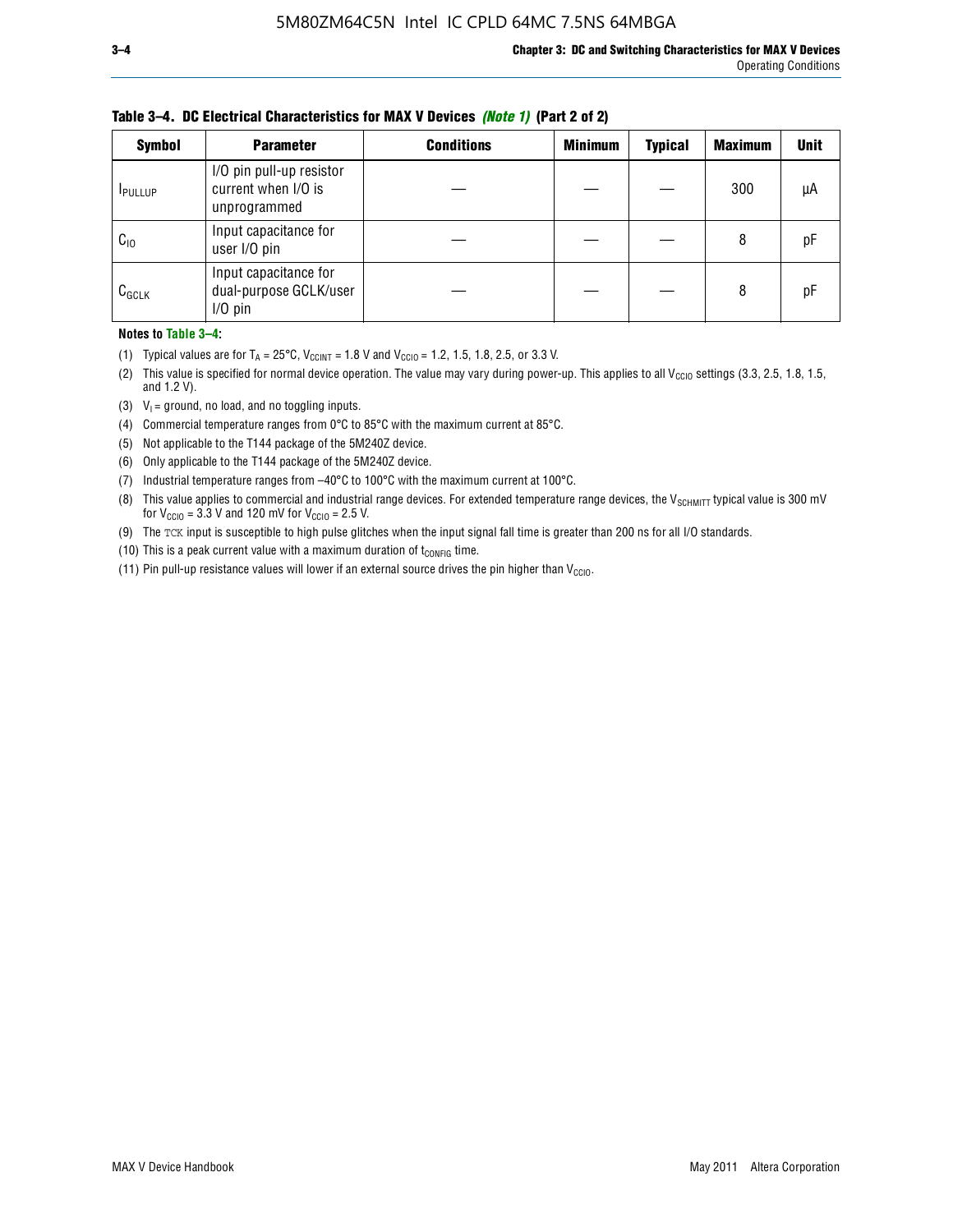| <b>Symbol</b>  | <b>Parameter</b>                                                | <b>Conditions</b> | <b>Minimum</b> | <b>Typical</b> | <b>Maximum</b> | <b>Unit</b> |
|----------------|-----------------------------------------------------------------|-------------------|----------------|----------------|----------------|-------------|
| <b>IPULLUP</b> | I/O pin pull-up resistor<br>current when I/O is<br>unprogrammed |                   |                |                | 300            | μA          |
| $C_{10}$       | Input capacitance for<br>user I/O pin                           |                   |                |                | 8              | pF          |
| $C_{GCLK}$     | Input capacitance for<br>dual-purpose GCLK/user<br>$I/O$ pin    |                   |                |                | 8              | pF          |

**Table 3–4. DC Electrical Characteristics for MAX V Devices** *(Note 1)* **(Part 2 of 2)**

**Notes to Table 3–4:**

- (1) Typical values are for  $T_A = 25^{\circ}\text{C}$ ,  $V_{\text{CCINT}} = 1.8 \text{ V}$  and  $V_{\text{CCIO}} = 1.2, 1.5, 1.8, 2.5,$  or 3.3 V.
- (2) This value is specified for normal device operation. The value may vary during power-up. This applies to all V<sub>CCIO</sub> settings (3.3, 2.5, 1.8, 1.5, and 1.2 V).
- (3)  $V_1$  = ground, no load, and no toggling inputs.
- (4) Commercial temperature ranges from 0°C to 85°C with the maximum current at 85°C.
- (5) Not applicable to the T144 package of the 5M240Z device.
- (6) Only applicable to the T144 package of the 5M240Z device.
- (7) Industrial temperature ranges from –40°C to 100°C with the maximum current at 100°C.
- (8) This value applies to commercial and industrial range devices. For extended temperature range devices, the  $V_{SCHMIT}$  typical value is 300 mV for  $V_{\text{CCIO}} = 3.3$  V and 120 mV for  $V_{\text{CCIO}} = 2.5$  V.
- (9) The TCK input is susceptible to high pulse glitches when the input signal fall time is greater than 200 ns for all I/O standards.
- (10) This is a peak current value with a maximum duration of  $t_{\text{CONFIG}}$  time.
- (11) Pin pull-up resistance values will lower if an external source drives the pin higher than  $V_{\text{CCIO}}$ .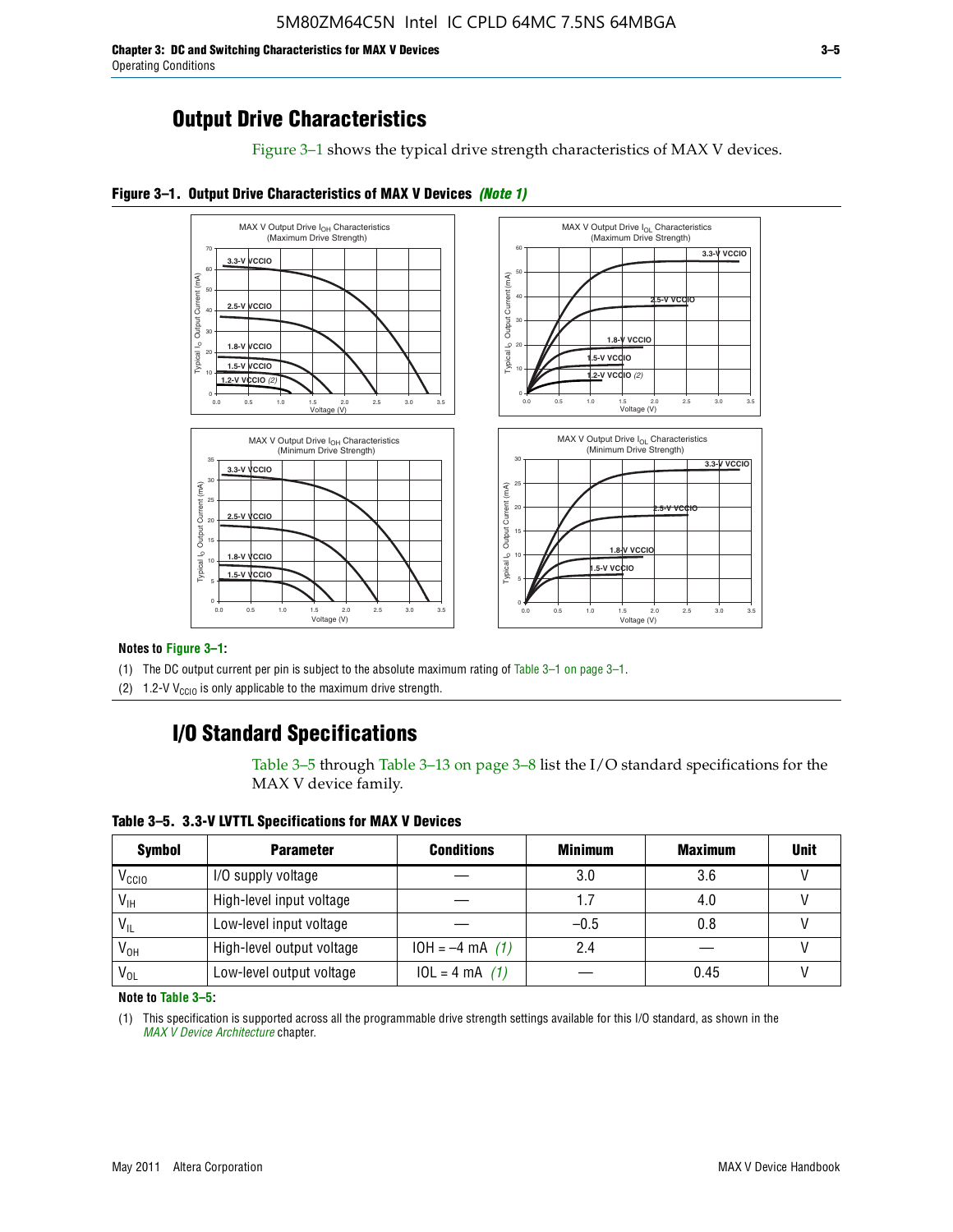**Chapter 3: DC and Switching Characteristics for MAX V Devices 3–5** Operating Conditions

Figure 3–1 shows the typical drive strength characteristics of MAX V devices.





#### **Notes to Figure 3–1:**

(1) The DC output current per pin is subject to the absolute maximum rating of Table 3–1 on page 3–1.

(2) 1.2-V V<sub>CCIO</sub> is only applicable to the maximum drive strength.

### **I/O Standard Specifications**

Table 3–5 through Table 3–13 on page 3–8 list the I/O standard specifications for the MAX V device family.

**Table 3–5. 3.3-V LVTTL Specifications for MAX V Devices**

| <b>Symbol</b>     | <b>Parameter</b>          | <b>Conditions</b> | <b>Minimum</b> | <b>Maximum</b> | <b>Unit</b> |
|-------------------|---------------------------|-------------------|----------------|----------------|-------------|
| V <sub>ccio</sub> | I/O supply voltage        |                   | 3.0            | 3.6            |             |
| $V_{IH}$          | High-level input voltage  |                   | 1.7            | 4.0            |             |
| $V_{IL}$          | Low-level input voltage   |                   | $-0.5$         | 0.8            |             |
| V <sub>он</sub>   | High-level output voltage | $10H = -4 mA$ (1) | 2.4            |                |             |
| $V_{OL}$          | Low-level output voltage  | $10L = 4 mA$ (1)  |                | 0.45           |             |

**Note to Table 3–5:**

(1) This specification is supported across all the programmable drive strength settings available for this I/O standard, as shown in the *[MAX V Device Architecture](http://www.altera.com/literature/hb/max-v/mv51002.pdf)* chapter.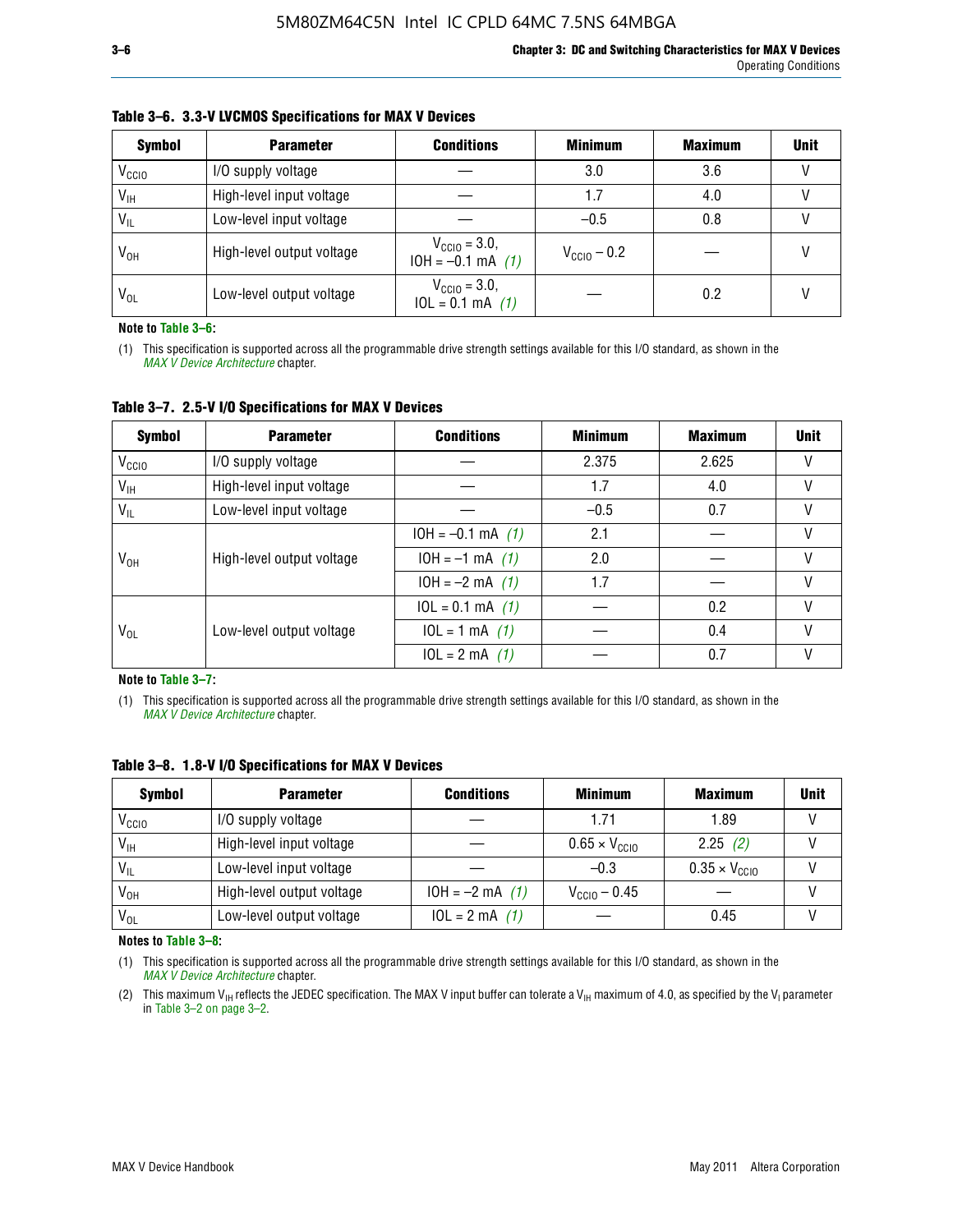| <b>Symbol</b>     | <b>Parameter</b>          | <b>Conditions</b>                                 | <b>Minimum</b>          | <b>Maximum</b> | <b>Unit</b> |
|-------------------|---------------------------|---------------------------------------------------|-------------------------|----------------|-------------|
| V <sub>CCIO</sub> | I/O supply voltage        |                                                   | 3.0                     | 3.6            |             |
| $V_{IH}$          | High-level input voltage  |                                                   | 1.7                     | 4.0            |             |
| $V_{IL}$          | Low-level input voltage   |                                                   | $-0.5$                  | 0.8            |             |
| $V_{OH}$          | High-level output voltage | $V_{\text{CCIO}} = 3.0,$<br>$10H = -0.1$ mA $(1)$ | $V_{\text{CC10}} - 0.2$ |                |             |
| $V_{OL}$          | Low-level output voltage  | $V_{\text{CGI0}} = 3.0,$<br>$10L = 0.1$ mA $(1)$  |                         | 0.2            |             |

#### **Table 3–6. 3.3-V LVCMOS Specifications for MAX V Devices**

**Note to Table 3–6:**

(1) This specification is supported across all the programmable drive strength settings available for this I/O standard, as shown in the *[MAX V Device Architecture](http://www.altera.com/literature/hb/max-v/mv51002.pdf)* chapter.

**Table 3–7. 2.5-V I/O Specifications for MAX V Devices**

| <b>Symbol</b>     | <b>Parameter</b>          | <b>Conditions</b>     | <b>Minimum</b> | <b>Maximum</b> | <b>Unit</b> |
|-------------------|---------------------------|-----------------------|----------------|----------------|-------------|
| V <sub>CCIO</sub> | I/O supply voltage        |                       | 2.375          | 2.625          |             |
| $V_{\text{IH}}$   | High-level input voltage  |                       | 1.7            | 4.0            | V           |
| $V_{IL}$          | Low-level input voltage   |                       | $-0.5$         | 0.7            |             |
|                   | High-level output voltage | $10H = -0.1$ mA $(1)$ | 2.1            |                |             |
| V <sub>он</sub>   |                           | $10H = -1$ mA $(1)$   | 2.0            |                |             |
|                   |                           | $10H = -2 mA$ (1)     | 1.7            |                | V           |
|                   |                           | $10L = 0.1$ mA $(1)$  |                | 0.2            |             |
| V <sub>OL</sub>   | Low-level output voltage  | $10L = 1 mA$ (1)      |                | 0.4            |             |
|                   |                           | $10L = 2 mA$ (1)      |                | 0.7            |             |

**Note to Table 3–7:**

(1) This specification is supported across all the programmable drive strength settings available for this I/O standard, as shown in the *[MAX V Device Architecture](http://www.altera.com/literature/hb/max-v/mv51002.pdf)* chapter.

| <b>Symbol</b>     | <b>Parameter</b>          | <b>Conditions</b> | <b>Minimum</b>                | <b>Maximum</b>                | <b>Unit</b> |
|-------------------|---------------------------|-------------------|-------------------------------|-------------------------------|-------------|
| V <sub>ccio</sub> | I/O supply voltage        |                   | 1.71                          | 1.89                          |             |
| $V_{\text{IH}}$   | High-level input voltage  |                   | $0.65 \times V_{\text{CGI0}}$ | 2.25(2)                       |             |
| $V_{IL}$          | Low-level input voltage   |                   | $-0.3$                        | $0.35 \times V_{\text{CC10}}$ |             |
| V <sub>он</sub>   | High-level output voltage | $10H = -2 mA$ (1) | $V_{\text{CCI0}} - 0.45$      |                               |             |
| $V_{OL}$          | Low-level output voltage  | $10L = 2 mA$ (1)  |                               | 0.45                          |             |

**Table 3–8. 1.8-V I/O Specifications for MAX V Devices**

**Notes to Table 3–8:**

(1) This specification is supported across all the programmable drive strength settings available for this I/O standard, as shown in the *[MAX V Device Architecture](http://www.altera.com/literature/hb/max-v/mv51002.pdf)* chapter.

(2) This maximum V<sub>IH</sub> reflects the JEDEC specification. The MAX V input buffer can tolerate a V<sub>IH</sub> maximum of 4.0, as specified by the V<sub>I</sub> parameter in Table 3–2 on page 3–2.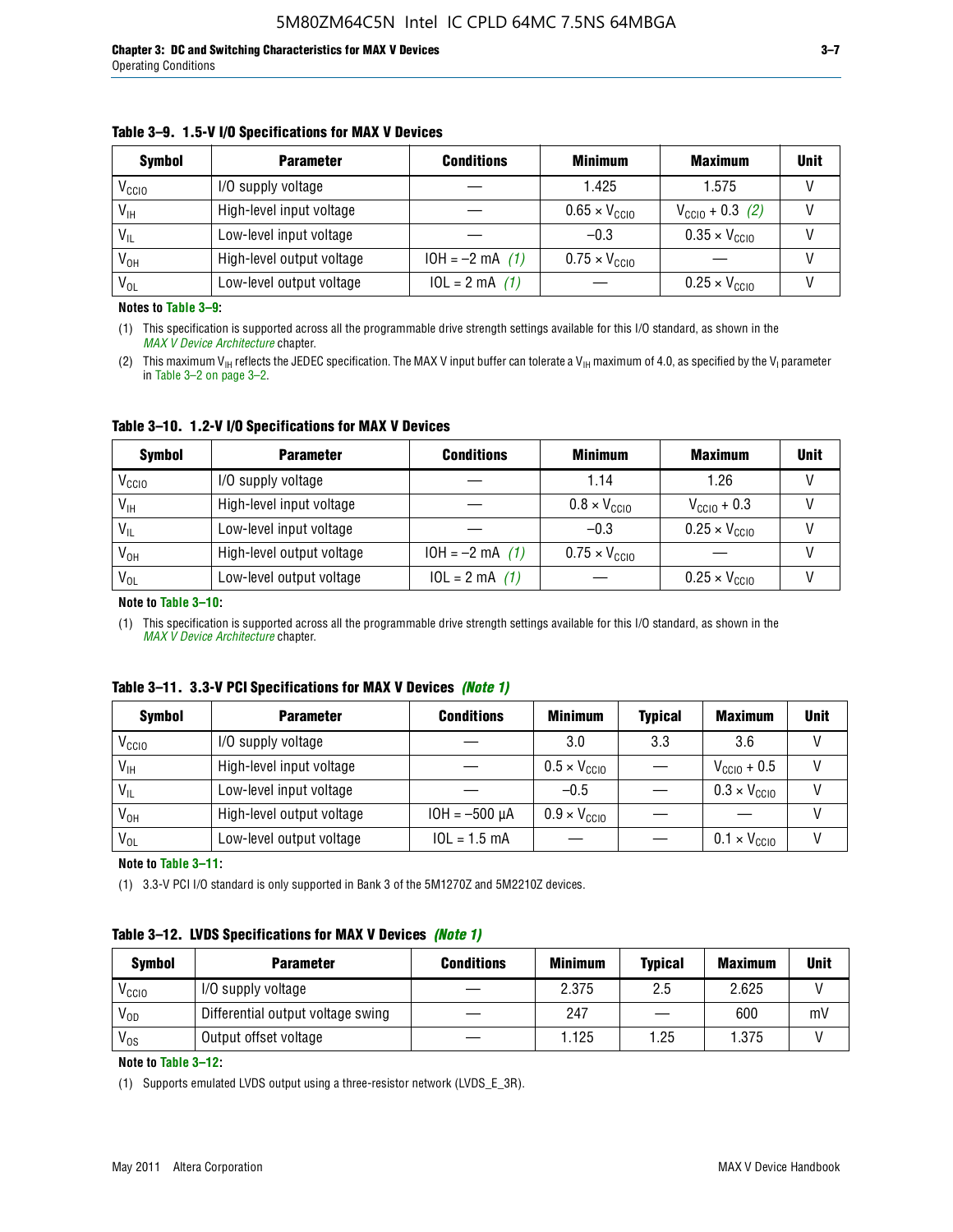#### **Table 3–9. 1.5-V I/O Specifications for MAX V Devices**

| <b>Symbol</b>     | <b>Parameter</b>          | <b>Conditions</b> | <b>Minimum</b>                | <b>Maximum</b>                | <b>Unit</b> |
|-------------------|---------------------------|-------------------|-------------------------------|-------------------------------|-------------|
| V <sub>CCIO</sub> | I/O supply voltage        |                   | 1.425                         | 1.575                         |             |
| $V_{IH}$          | High-level input voltage  |                   | $0.65 \times V_{\text{CC10}}$ | $V_{\text{CGI0}} + 0.3$ (2)   |             |
| $V_{IL}$          | Low-level input voltage   |                   | $-0.3$                        | $0.35 \times V_{\text{CC10}}$ |             |
| V <sub>он</sub>   | High-level output voltage | $10H = -2 mA$ (1) | $0.75 \times V_{\text{CC10}}$ |                               |             |
| $V_{OL}$          | Low-level output voltage  | $10L = 2 mA$ (1)  |                               | $0.25 \times V_{\text{CGI0}}$ |             |

**Notes to Table 3–9:**

(1) This specification is supported across all the programmable drive strength settings available for this I/O standard, as shown in the *[MAX V Device Architecture](http://www.altera.com/literature/hb/max-v/mv51002.pdf)* chapter.

(2) This maximum V<sub>IH</sub> reflects the JEDEC specification. The MAX V input buffer can tolerate a V<sub>IH</sub> maximum of 4.0, as specified by the V<sub>I</sub> parameter in Table 3–2 on page 3–2.

**Table 3–10. 1.2-V I/O Specifications for MAX V Devices**

| <b>Symbol</b>     | <b>Parameter</b>          | <b>Conditions</b> | <b>Minimum</b>               | <b>Maximum</b>                | <b>Unit</b> |
|-------------------|---------------------------|-------------------|------------------------------|-------------------------------|-------------|
| V <sub>CCIO</sub> | I/O supply voltage        |                   | 1.14                         | 1.26                          |             |
| $V_{IH}$          | High-level input voltage  |                   | $0.8 \times V_{\text{CCIO}}$ | $V_{\text{CC10}} + 0.3$       |             |
| $V_{IL}$          | Low-level input voltage   |                   | $-0.3$                       | $0.25 \times V_{\text{CCIO}}$ |             |
| V <sub>OH</sub>   | High-level output voltage | $10H = -2 mA$ (1) | $0.75 \times V_{\text{CCI}}$ |                               |             |
| $V_{OL}$          | Low-level output voltage  | $10L = 2 mA$ (1)  |                              | $0.25 \times V_{\text{CGI0}}$ |             |

#### **Note to Table 3–10:**

(1) This specification is supported across all the programmable drive strength settings available for this I/O standard, as shown in the *[MAX V Device Architecture](http://www.altera.com/literature/hb/max-v/mv51002.pdf)* chapter.

|  |  | Table 3–11. 3.3-V PCI Specifications for MAX V Devices (Note 1) |  |  |  |  |
|--|--|-----------------------------------------------------------------|--|--|--|--|
|--|--|-----------------------------------------------------------------|--|--|--|--|

| <b>Symbol</b>     | <b>Parameter</b>          | <b>Conditions</b>  | <b>Minimum</b>               | <b>Typical</b> | <b>Maximum</b>               | <b>Unit</b> |
|-------------------|---------------------------|--------------------|------------------------------|----------------|------------------------------|-------------|
| V <sub>CCIO</sub> | I/O supply voltage        |                    | 3.0                          | 3.3            | 3.6                          |             |
| $V_{\text{IH}}$   | High-level input voltage  |                    | $0.5 \times V_{\text{CCIO}}$ |                | $V_{\text{CC10}} + 0.5$      |             |
| $V_{IL}$          | Low-level input voltage   |                    | $-0.5$                       |                | $0.3 \times V_{\text{CC10}}$ |             |
| $V_{OH}$          | High-level output voltage | $10H = -500 \mu A$ | $0.9 \times V_{\text{CC10}}$ |                |                              |             |
| $V_{OL}$          | Low-level output voltage  | $10L = 1.5 mA$     |                              |                | $0.1 \times V_{\text{CC10}}$ |             |

**Note to Table 3–11:**

(1) 3.3-V PCI I/O standard is only supported in Bank 3 of the 5M1270Z and 5M2210Z devices.

### **Table 3–12. LVDS Specifications for MAX V Devices** *(Note 1)*

| <b>Symbol</b> | <b>Parameter</b>                  | <b>Conditions</b> | <b>Minimum</b> | <b>Typical</b> | <b>Maximum</b> | Unit |
|---------------|-----------------------------------|-------------------|----------------|----------------|----------------|------|
| Vccio         | I/O supply voltage                |                   | 2.375          | 2.5            | 2.625          |      |
| $V_{OD}$      | Differential output voltage swing |                   | 247            |                | 600            | mV   |
| $V_{OS}$      | Output offset voltage             |                   | 1.125          | 1.25           | 1.375          |      |

**Note to Table 3–12:**

(1) Supports emulated LVDS output using a three-resistor network (LVDS\_E\_3R).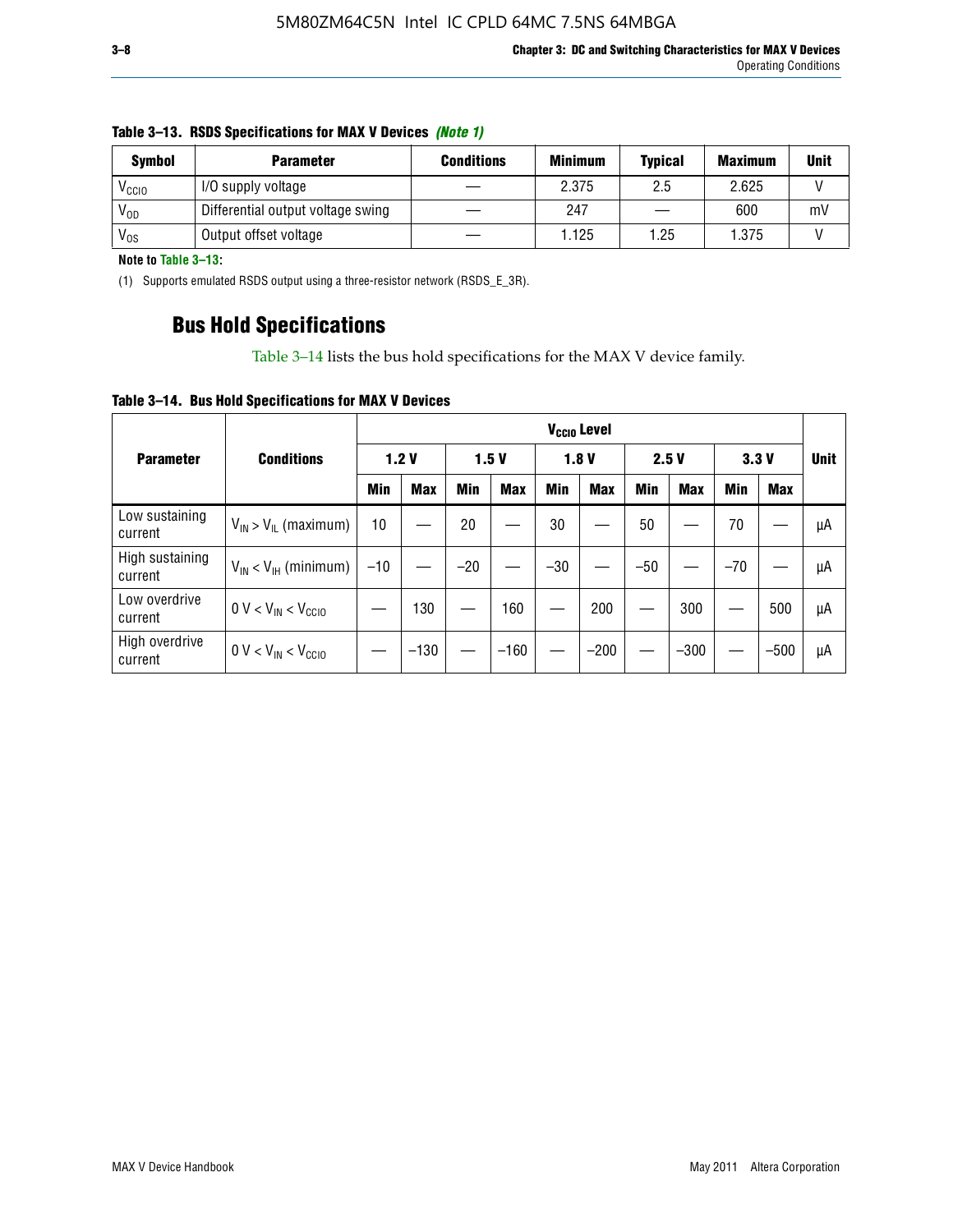| <b>Symbol</b> | <b>Parameter</b>                  | <b>Conditions</b> | <b>Minimum</b> | <b>Typical</b> | <b>Maximum</b> | <b>Unit</b> |
|---------------|-----------------------------------|-------------------|----------------|----------------|----------------|-------------|
| Vccio         | I/O supply voltage                |                   | 2.375          | 2.5            | 2.625          |             |
| $V_{OD}$      | Differential output voltage swing |                   | 247            |                | 600            | m۱          |
| $V_{OS}$      | Output offset voltage             |                   | 1.125          | 1.25           | 1.375          |             |

#### **Table 3–13. RSDS Specifications for MAX V Devices** *(Note 1)*

**Note to Table 3–13:**

(1) Supports emulated RSDS output using a three-resistor network (RSDS\_E\_3R).

### **Bus Hold Specifications**

Table 3–14 lists the bus hold specifications for the MAX V device family.

**Table 3–14. Bus Hold Specifications for MAX V Devices**

|                            |                               | V <sub>ccio</sub> Level |            |       |            |            |            |            |            |       |            |             |
|----------------------------|-------------------------------|-------------------------|------------|-------|------------|------------|------------|------------|------------|-------|------------|-------------|
| <b>Parameter</b>           | <b>Conditions</b>             |                         | 1.2V       |       | 1.5V       |            | 1.8V       |            | 2.5V       | 3.3V  |            | <b>Unit</b> |
|                            |                               | Min                     | <b>Max</b> | Min   | <b>Max</b> | <b>Min</b> | <b>Max</b> | <b>Min</b> | <b>Max</b> | Min   | <b>Max</b> |             |
| Low sustaining<br>current  | $V_{IN}$ > $V_{IL}$ (maximum) | 10                      |            | 20    |            | 30         |            | 50         |            | 70    |            | μA          |
| High sustaining<br>current | $V_{IN}$ < $V_{IH}$ (minimum) | $-10$                   |            | $-20$ |            | $-30$      |            | $-50$      |            | $-70$ |            | μA          |
| Low overdrive<br>current   | $0 V < V_{IN} < V_{CC10}$     |                         | 130        |       | 160        |            | 200        |            | 300        |       | 500        | μA          |
| High overdrive<br>current  | $0 V < V_{IN} < V_{CC10}$     |                         | $-130$     |       | $-160$     |            | $-200$     |            | $-300$     |       | $-500$     | μA          |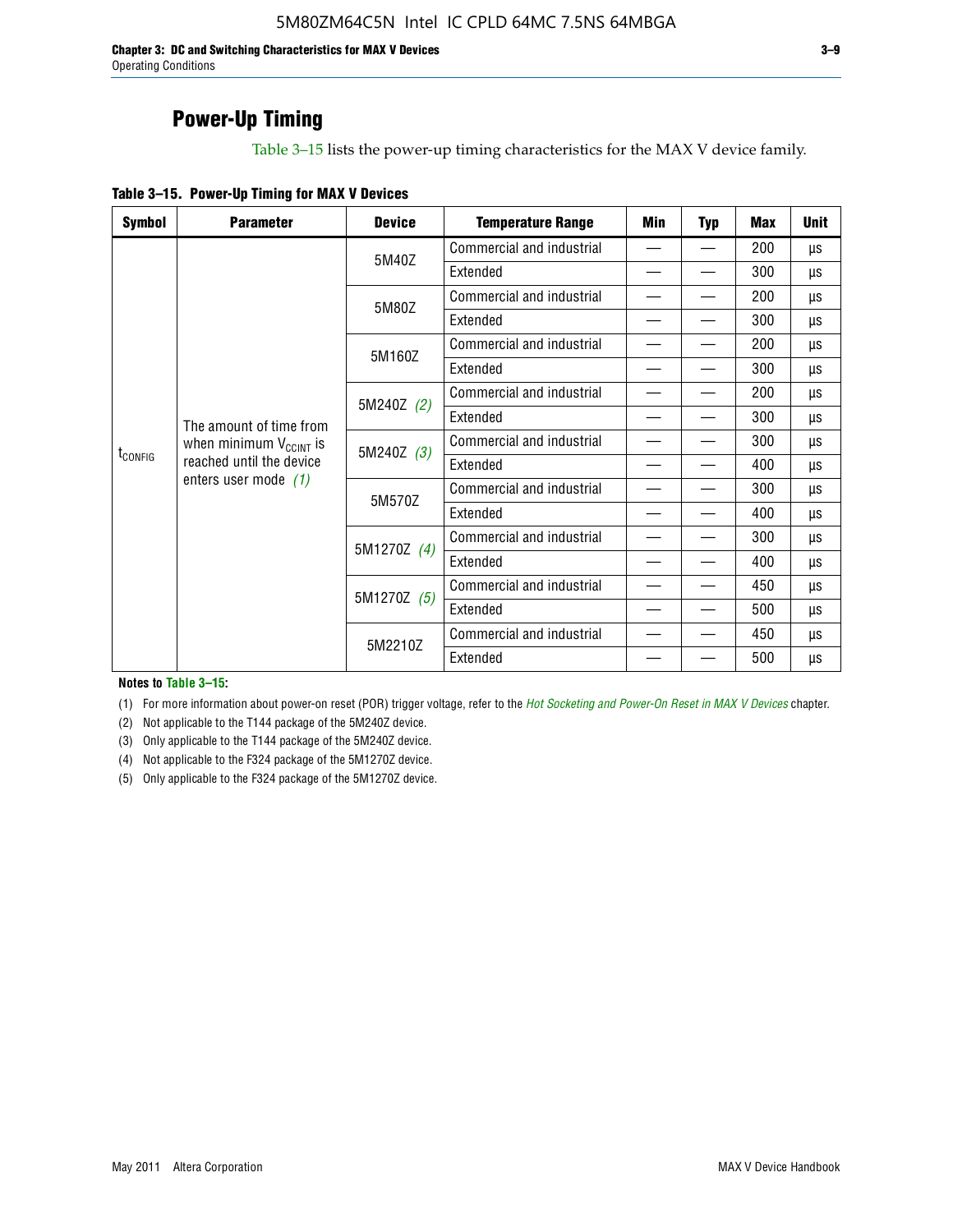**Chapter 3: DC and Switching Characteristics for MAX V Devices 3–9** Operating Conditions

### **Power-Up Timing**

Table 3–15 lists the power-up timing characteristics for the MAX V device family.

| Table 3-15. Power-Up Timing for MAX V Devices |  |  |  |  |  |
|-----------------------------------------------|--|--|--|--|--|
|-----------------------------------------------|--|--|--|--|--|

| <b>Symbol</b>       | <b>Parameter</b>                                   | <b>Device</b> | <b>Temperature Range</b>  | Min                      | <b>Typ</b> | <b>Max</b> | <b>Unit</b> |
|---------------------|----------------------------------------------------|---------------|---------------------------|--------------------------|------------|------------|-------------|
|                     |                                                    | 5M40Z         | Commercial and industrial | $\overline{\phantom{0}}$ |            | 200        | μs          |
|                     |                                                    |               | Extended                  |                          |            | 300        | μs          |
|                     |                                                    | 5M80Z         | Commercial and industrial |                          |            | 200        | μs          |
|                     |                                                    |               | Extended                  |                          |            | 300        | μs          |
|                     |                                                    | 5M160Z        | Commercial and industrial |                          |            | 200        | μs          |
|                     |                                                    |               | Extended                  |                          |            | 300        | μs          |
|                     |                                                    | 5M240Z (2)    | Commercial and industrial |                          |            | 200        | μs          |
|                     | The amount of time from                            |               | Extended                  |                          |            | 300        | μs          |
|                     | when minimum $V_{C C INT}$ is                      | 5M240Z (3)    | Commercial and industrial |                          |            | 300        | μs          |
| t <sub>config</sub> | reached until the device<br>enters user mode $(1)$ |               | Extended                  | $\overline{\phantom{0}}$ |            | 400        | μs          |
|                     |                                                    | 5M570Z        | Commercial and industrial |                          |            | 300        | μs          |
|                     |                                                    |               | Extended                  |                          |            | 400        | μs          |
|                     |                                                    | 5M1270Z (4)   | Commercial and industrial |                          |            | 300        | μs          |
|                     |                                                    |               | Extended                  |                          |            | 400        | μs          |
|                     |                                                    | 5M1270Z (5)   | Commercial and industrial |                          |            | 450        | μs          |
|                     |                                                    |               | Extended                  |                          |            | 500        | μs          |
|                     |                                                    | 5M2210Z       | Commercial and industrial |                          |            | 450        | μs          |
|                     |                                                    |               | Extended                  |                          |            | 500        | μs          |

**Notes to Table 3–15:**

(1) For more information about power-on reset (POR) trigger voltage, refer to the *[Hot Socketing and Power-On Reset in MAX V Devices](http://www.altera.com/literature/hb/max-v/mv51004.pdf)* chapter.

(2) Not applicable to the T144 package of the 5M240Z device.

(3) Only applicable to the T144 package of the 5M240Z device.

(4) Not applicable to the F324 package of the 5M1270Z device.

(5) Only applicable to the F324 package of the 5M1270Z device.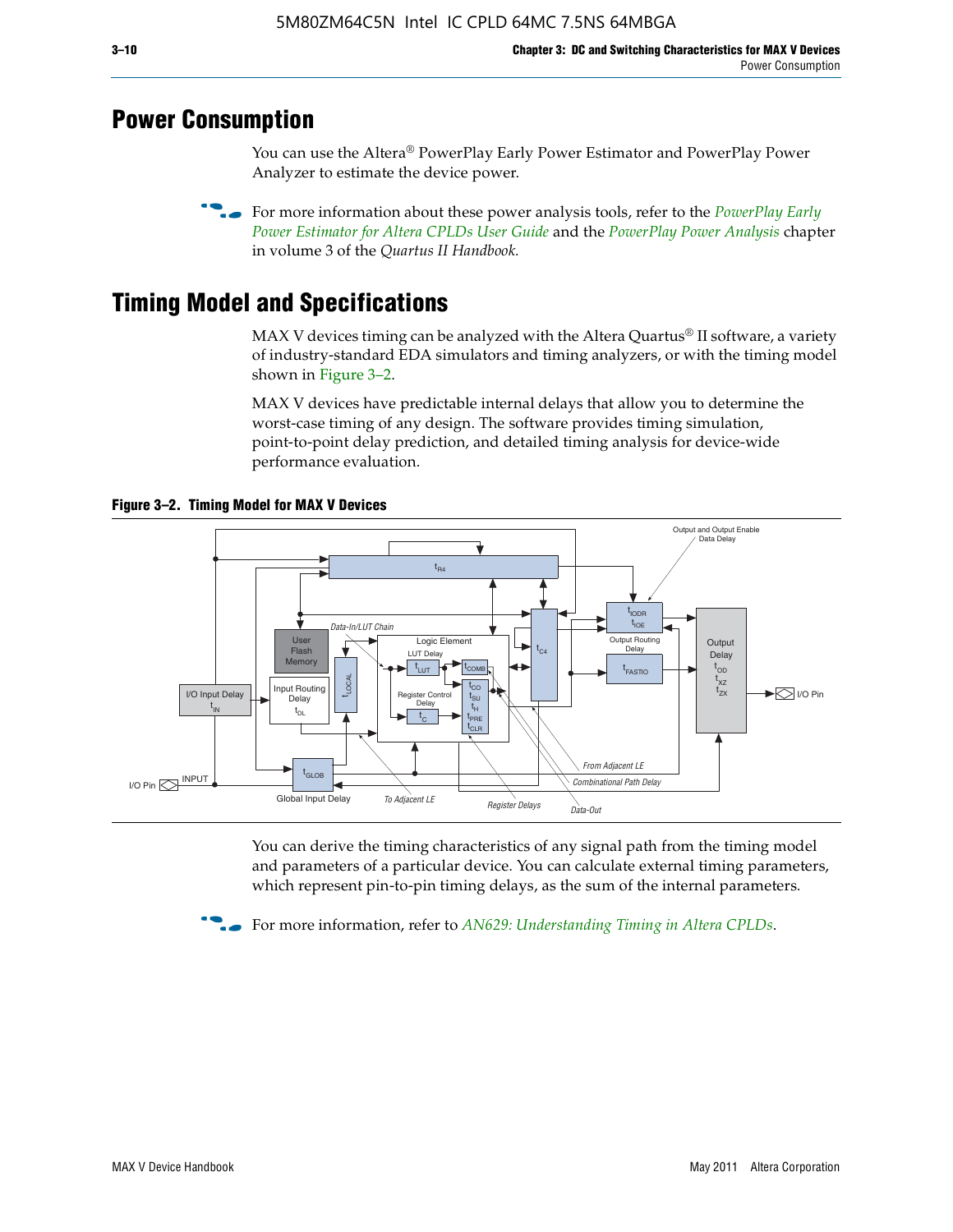### **Power Consumption**

You can use the Altera® PowerPlay Early Power Estimator and PowerPlay Power Analyzer to estimate the device power.

**For more information about these power analysis tools, refer to the** *PowerPlay Early**[Power Estimator for Altera CPLDs User Guide](http://www.altera.com/literature/ug/ug_epe_cpld.pdf)* and the *[PowerPlay Power Analysis](http://www.altera.com/literature/hb/qts/qts_qii53013.pdf)* chapter in volume 3 of the *Quartus II Handbook.*

# **Timing Model and Specifications**

MAX V devices timing can be analyzed with the Altera Quartus<sup>®</sup> II software, a variety of industry-standard EDA simulators and timing analyzers, or with the timing model shown in Figure 3–2.

MAX V devices have predictable internal delays that allow you to determine the worst-case timing of any design. The software provides timing simulation, point-to-point delay prediction, and detailed timing analysis for device-wide performance evaluation.



**Figure 3–2. Timing Model for MAX V Devices**

You can derive the timing characteristics of any signal path from the timing model and parameters of a particular device. You can calculate external timing parameters, which represent pin-to-pin timing delays, as the sum of the internal parameters.

**For more information, refer to** *[AN629: Understanding Timing in Altera CPLDs](http://www.altera.com/literature/an/an629.pdf)***.**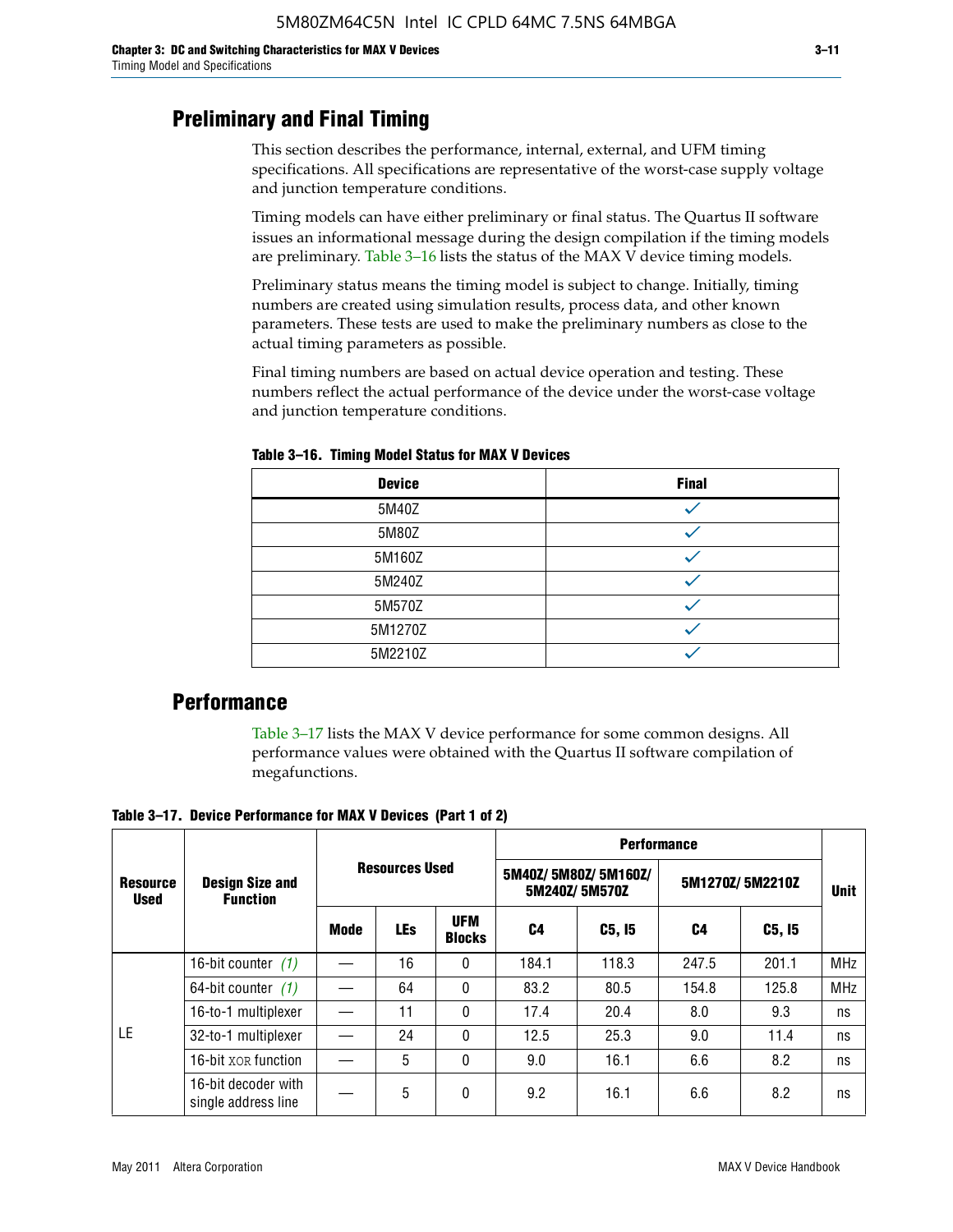### **Preliminary and Final Timing**

This section describes the performance, internal, external, and UFM timing specifications. All specifications are representative of the worst-case supply voltage and junction temperature conditions.

Timing models can have either preliminary or final status. The Quartus II software issues an informational message during the design compilation if the timing models are preliminary. Table 3–16 lists the status of the MAX V device timing models.

Preliminary status means the timing model is subject to change. Initially, timing numbers are created using simulation results, process data, and other known parameters. These tests are used to make the preliminary numbers as close to the actual timing parameters as possible.

Final timing numbers are based on actual device operation and testing. These numbers reflect the actual performance of the device under the worst-case voltage and junction temperature conditions.

| <b>Device</b> | <b>Final</b> |
|---------------|--------------|
| 5M40Z         |              |
| 5M80Z         |              |
| 5M160Z        |              |
| 5M240Z        |              |
| 5M570Z        |              |
| 5M1270Z       |              |
| 5M2210Z       |              |

**Table 3–16. Timing Model Status for MAX V Devices**

### **Performance**

Table 3–17 lists the MAX V device performance for some common designs. All performance values were obtained with the Quartus II software compilation of megafunctions.

**Table 3–17. Device Performance for MAX V Devices (Part 1 of 2)**

|                                |                                            |                       |            |                             | <b>Performance</b> |                                      |                 |             |            |  |  |
|--------------------------------|--------------------------------------------|-----------------------|------------|-----------------------------|--------------------|--------------------------------------|-----------------|-------------|------------|--|--|
| <b>Resource</b><br><b>Used</b> | <b>Design Size and</b><br><b>Function</b>  | <b>Resources Used</b> |            |                             |                    | 5M40Z/5M80Z/5M160Z/<br>5M240Z/5M570Z | 5M1270Z/5M2210Z | <b>Unit</b> |            |  |  |
|                                |                                            | Mode                  | <b>LEs</b> | <b>UFM</b><br><b>Blocks</b> | C4                 | C5, I5                               | C4              | C5, I5      |            |  |  |
|                                | 16-bit counter $(1)$                       |                       | 16         | 0                           | 184.1              | 118.3                                | 247.5           | 201.1       | <b>MHz</b> |  |  |
|                                | 64-bit counter $(1)$                       |                       | 64         | 0                           | 83.2               | 80.5                                 | 154.8           | 125.8       | <b>MHz</b> |  |  |
|                                | 16-to-1 multiplexer                        |                       | 11         | 0                           | 17.4               | 20.4                                 | 8.0             | 9.3         | ns         |  |  |
| LE                             | 32-to-1 multiplexer                        |                       | 24         | 0                           | 12.5               | 25.3                                 | 9.0             | 11.4        | ns         |  |  |
|                                | 16-bit XOR function                        |                       | 5          | 0                           | 9.0                | 16.1                                 | 6.6             | 8.2         | ns         |  |  |
|                                | 16-bit decoder with<br>single address line |                       | 5          | 0                           | 9.2                | 16.1                                 | 6.6             | 8.2         | ns         |  |  |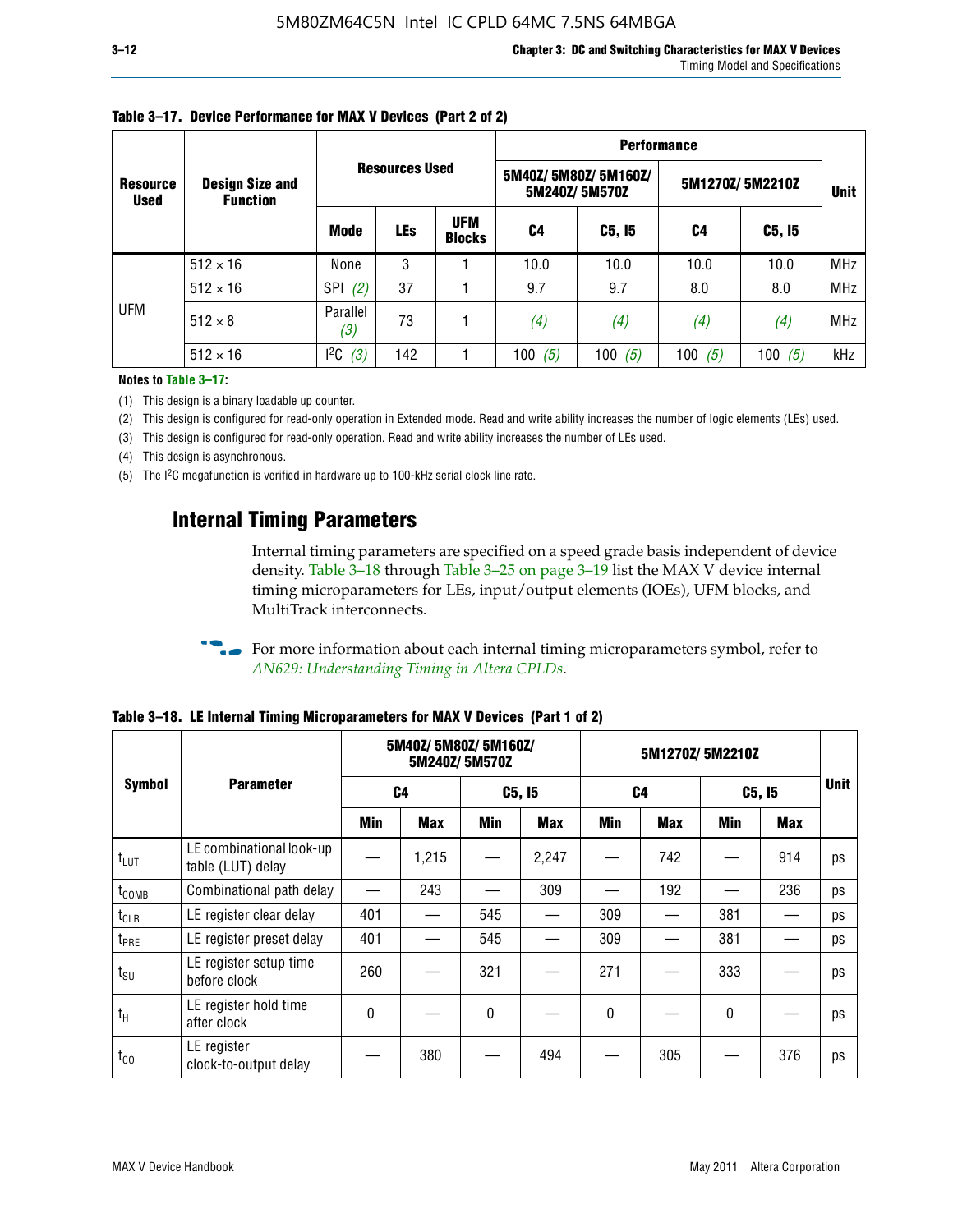|                                |                                           |                   |                       |                             | <b>Performance</b> |                                      |                 |             |            |  |  |
|--------------------------------|-------------------------------------------|-------------------|-----------------------|-----------------------------|--------------------|--------------------------------------|-----------------|-------------|------------|--|--|
| <b>Resource</b><br><b>Used</b> | <b>Design Size and</b><br><b>Function</b> |                   | <b>Resources Used</b> |                             |                    | 5M40Z/5M80Z/5M160Z/<br>5M240Z/5M570Z | 5M1270Z/5M2210Z | <b>Unit</b> |            |  |  |
|                                |                                           | <b>Mode</b>       | <b>LEs</b>            | <b>UFM</b><br><b>Blocks</b> | C4                 | C5, I5                               | C4              | C5, I5      |            |  |  |
|                                | $512 \times 16$                           | None              | 3                     |                             | 10.0               | 10.0                                 | 10.0            | 10.0        | <b>MHz</b> |  |  |
|                                | $512 \times 16$                           | <b>SPI</b><br>(2) | 37                    |                             | 9.7                | 9.7                                  | 8.0             | 8.0         | <b>MHz</b> |  |  |
| <b>UFM</b>                     | $512 \times 8$                            | Parallel<br>(3)   | 73                    |                             | (4)                | (4)                                  | (4)             | (4)         | <b>MHz</b> |  |  |
|                                | $512 \times 16$                           | $l^2C$<br>(3)     | 142                   |                             | 100<br>(5)         | 100 $(5)$                            | 100 $(5)$       | 100 $(5)$   | kHz        |  |  |

### **Table 3–17. Device Performance for MAX V Devices (Part 2 of 2)**

**Notes to Table 3–17:**

(1) This design is a binary loadable up counter.

(2) This design is configured for read-only operation in Extended mode. Read and write ability increases the number of logic elements (LEs) used.

(3) This design is configured for read-only operation. Read and write ability increases the number of LEs used.

(4) This design is asynchronous.

(5) The I2C megafunction is verified in hardware up to 100-kHz serial clock line rate.

### **Internal Timing Parameters**

Internal timing parameters are specified on a speed grade basis independent of device density. Table 3–18 through Table 3–25 on page 3–19 list the MAX V device internal timing microparameters for LEs, input/output elements (IOEs), UFM blocks, and MultiTrack interconnects.

For more information about each internal timing microparameters symbol, refer to *[AN629: Understanding Timing in Altera CPLDs](http://www.altera.com/literature/an/an629.pdf)*.

|                   |                                               | 5M40Z/ 5M80Z/ 5M160Z/<br>5M240Z/5M570Z |            |              |            | 5M1270Z/5M2210Z |            |              |            |    |
|-------------------|-----------------------------------------------|----------------------------------------|------------|--------------|------------|-----------------|------------|--------------|------------|----|
| <b>Symbol</b>     | <b>Parameter</b>                              |                                        | C4         |              | C5, I5     |                 | C4         |              | C5, I5     |    |
|                   |                                               | Min                                    | <b>Max</b> | Min          | <b>Max</b> | Min             | <b>Max</b> | Min          | <b>Max</b> |    |
| $t_{LUT}$         | LE combinational look-up<br>table (LUT) delay |                                        | 1,215      |              | 2,247      |                 | 742        |              | 914        | ps |
| t <sub>comb</sub> | Combinational path delay                      |                                        | 243        |              | 309        |                 | 192        |              | 236        | ps |
| $t_{CLR}$         | LE register clear delay                       | 401                                    |            | 545          |            | 309             |            | 381          |            | ps |
| t <sub>PRE</sub>  | LE register preset delay                      | 401                                    |            | 545          |            | 309             |            | 381          |            | ps |
| $t_{\text{SU}}$   | LE register setup time<br>before clock        | 260                                    |            | 321          |            | 271             |            | 333          |            | ps |
| $t_{H}$           | LE register hold time<br>after clock          | 0                                      |            | $\mathbf{0}$ |            | 0               |            | $\mathbf{0}$ |            | ps |
| $t_{\rm CO}$      | LE register<br>clock-to-output delay          |                                        | 380        |              | 494        |                 | 305        |              | 376        | ps |

**Table 3–18. LE Internal Timing Microparameters for MAX V Devices (Part 1 of 2)**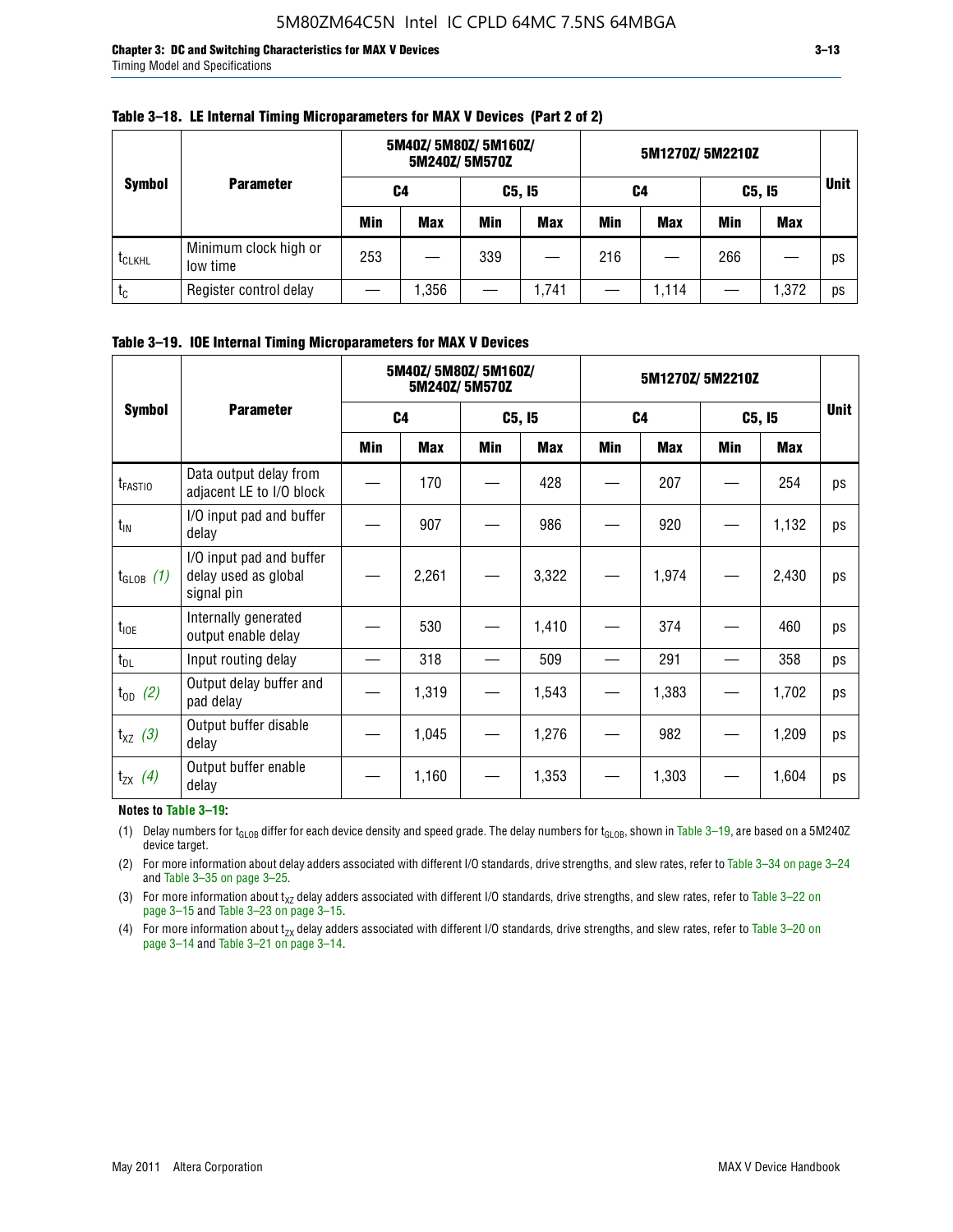**Chapter 3: DC and Switching Characteristics for MAX V Devices 3–13** Timing Model and Specifications

|                    |                                   |     | 5M40Z/ 5M80Z/ 5M160Z/<br>5M240Z/5M570Z |     |            | 5M1270Z/5M2210Z |            |     |            |             |
|--------------------|-----------------------------------|-----|----------------------------------------|-----|------------|-----------------|------------|-----|------------|-------------|
| <b>Symbol</b>      | <b>Parameter</b>                  | C4  |                                        |     | C5, I5     | C4              |            |     | C5, I5     | <b>Unit</b> |
|                    |                                   | Min | <b>Max</b>                             | Min | <b>Max</b> | Min             | <b>Max</b> | Min | <b>Max</b> |             |
| t <sub>CLKHL</sub> | Minimum clock high or<br>low time | 253 |                                        | 339 |            | 216             |            | 266 |            | ps          |
| $t_c$              | Register control delay            |     | ,356                                   |     | 1,741      |                 | 1,114      |     | 1,372      | ps          |

#### **Table 3–18. LE Internal Timing Microparameters for MAX V Devices (Part 2 of 2)**

### **Table 3–19. IOE Internal Timing Microparameters for MAX V Devices**

|                     | <b>Parameter</b>                                               |                | 5M40Z/ 5M80Z/ 5M160Z/ | 5M240Z/5M570Z |            | 5M1270Z/5M2210Z |            |            |       |             |
|---------------------|----------------------------------------------------------------|----------------|-----------------------|---------------|------------|-----------------|------------|------------|-------|-------------|
| <b>Symbol</b>       |                                                                | C <sub>4</sub> |                       | C5, I5        |            | C <sub>4</sub>  |            | C5, I5     |       | <b>Unit</b> |
|                     |                                                                | Min            | <b>Max</b>            | <b>Min</b>    | <b>Max</b> | Min             | <b>Max</b> | <b>Min</b> | Max   |             |
| t <sub>FASTIO</sub> | Data output delay from<br>adjacent LE to I/O block             |                | 170                   |               | 428        |                 | 207        |            | 254   | ps          |
| $t_{IN}$            | I/O input pad and buffer<br>delay                              |                | 907                   |               | 986        |                 | 920        |            | 1,132 | ps          |
| $t_{GLOB}$ (1)      | I/O input pad and buffer<br>delay used as global<br>signal pin |                | 2,261                 |               | 3,322      |                 | 1,974      |            | 2,430 | ps          |
| $t_{10E}$           | Internally generated<br>output enable delay                    |                | 530                   |               | 1,410      |                 | 374        |            | 460   | ps          |
| $t_{DL}$            | Input routing delay                                            |                | 318                   |               | 509        |                 | 291        |            | 358   | ps          |
| $t_{OD}$ (2)        | Output delay buffer and<br>pad delay                           |                | 1,319                 |               | 1,543      |                 | 1,383      |            | 1,702 | ps          |
| $t_{XZ}$ (3)        | Output buffer disable<br>delay                                 |                | 1,045                 |               | 1,276      |                 | 982        |            | 1,209 | ps          |
| $t_{ZX}$ (4)        | Output buffer enable<br>delay                                  |                | 1,160                 |               | 1,353      |                 | 1,303      |            | 1,604 | ps          |

#### **Notes to Table 3–19:**

(1) Delay numbers for t<sub>GLOB</sub> differ for each device density and speed grade. The delay numbers for t<sub>GLOB</sub>, shown in Table 3–19, are based on a 5M240Z device target.

(2) For more information about delay adders associated with different I/O standards, drive strengths, and slew rates, refer to Table 3–34 on page 3–24 and Table 3–35 on page 3–25.

(3) For more information about  $t_{XZ}$  delay adders associated with different I/O standards, drive strengths, and slew rates, refer to Table 3-22 on page 3–15 and Table 3–23 on page 3–15.

(4) For more information about t<sub>zx</sub> delay adders associated with different I/O standards, drive strengths, and slew rates, refer to Table 3–20 on<br>page 3–14 and Table 3–21 on page 3–14.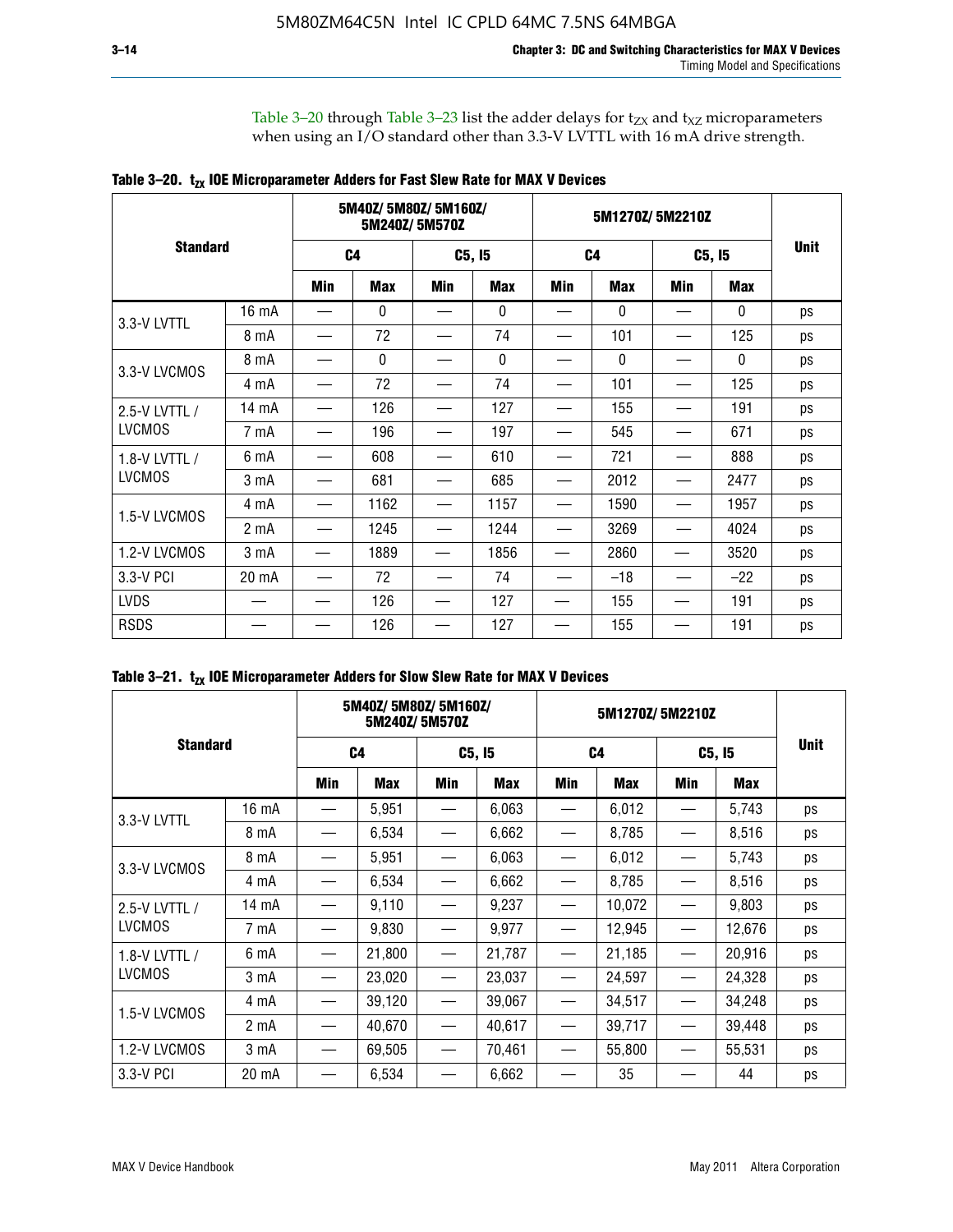Table 3–20 through Table 3–23 list the adder delays for  $t_{ZX}$  and  $t_{XZ}$  microparameters when using an I/O standard other than 3.3-V LVTTL with 16 mA drive strength.

|                 |                  |                | 5M40Z/5M80Z/5M160Z/ | 5M240Z/5M570Z |            |                |              |            |              |             |
|-----------------|------------------|----------------|---------------------|---------------|------------|----------------|--------------|------------|--------------|-------------|
| <b>Standard</b> |                  | C <sub>4</sub> |                     | C5, I5        |            | C <sub>4</sub> |              | C5, I5     |              | <b>Unit</b> |
|                 |                  | Min            | <b>Max</b>          | Min           | <b>Max</b> | Min            | <b>Max</b>   | <b>Min</b> | <b>Max</b>   |             |
| 3.3-V LVTTL     | 16 mA            |                | 0                   |               | 0          |                | $\mathbf{0}$ |            | 0            | ps          |
|                 | 8 mA             |                | 72                  |               | 74         |                | 101          |            | 125          | ps          |
| 3.3-V LVCMOS    | 8 mA             |                | $\mathbf{0}$        |               | 0          |                | $\mathbf{0}$ |            | $\mathbf{0}$ | ps          |
|                 | 4 mA             |                | 72                  |               | 74         |                | 101          |            | 125          | ps          |
| 2.5-V LVTTL /   | 14 mA            |                | 126                 |               | 127        |                | 155          |            | 191          | ps          |
| <b>LVCMOS</b>   | 7 mA             |                | 196                 |               | 197        |                | 545          |            | 671          | ps          |
| 1.8-V LVTTL /   | 6 mA             |                | 608                 |               | 610        |                | 721          |            | 888          | ps          |
| <b>LVCMOS</b>   | 3 mA             |                | 681                 |               | 685        |                | 2012         |            | 2477         | ps          |
| 1.5-V LVCMOS    | 4 mA             |                | 1162                |               | 1157       |                | 1590         |            | 1957         | ps          |
|                 | 2 mA             |                | 1245                |               | 1244       |                | 3269         |            | 4024         | ps          |
| 1.2-V LVCMOS    | 3 <sub>m</sub> A |                | 1889                |               | 1856       |                | 2860         |            | 3520         | ps          |
| 3.3-V PCI       | 20 mA            |                | 72                  |               | 74         |                | $-18$        |            | $-22$        | ps          |
| <b>LVDS</b>     |                  |                | 126                 |               | 127        |                | 155          |            | 191          | ps          |
| <b>RSDS</b>     |                  |                | 126                 |               | 127        |                | 155          |            | 191          | ps          |

|                 |                  | 5M40Z/5M80Z/5M160Z/ | 5M240Z/5M570Z |                                 |        | 5M1270Z/5M2210Z |            |        |        |             |
|-----------------|------------------|---------------------|---------------|---------------------------------|--------|-----------------|------------|--------|--------|-------------|
| <b>Standard</b> |                  | C <sub>4</sub>      |               | C5, I5                          |        | C <sub>4</sub>  |            | C5, I5 |        | <b>Unit</b> |
|                 |                  | Min                 | <b>Max</b>    | Min                             | Max    | <b>Min</b>      | <b>Max</b> | Min    | Max    |             |
| 3.3-V LVTTL     | 16 mA            |                     | 5,951         |                                 | 6,063  |                 | 6,012      |        | 5,743  | ps          |
|                 | 8 mA             |                     | 6,534         | $\hspace{0.1mm}-\hspace{0.1mm}$ | 6,662  | —               | 8,785      |        | 8,516  | ps          |
| 3.3-V LVCMOS    | 8 mA             |                     | 5,951         |                                 | 6,063  |                 | 6,012      |        | 5,743  | ps          |
|                 | 4 mA             |                     | 6,534         |                                 | 6,662  |                 | 8,785      |        | 8,516  | ps          |
| 2.5-V LVTTL /   | $14 \text{ mA}$  |                     | 9,110         |                                 | 9,237  |                 | 10,072     |        | 9,803  | ps          |
| <b>LVCMOS</b>   | 7 mA             |                     | 9,830         | —                               | 9,977  | —               | 12,945     |        | 12,676 | ps          |
| 1.8-V LVTTL /   | 6 mA             |                     | 21,800        |                                 | 21,787 |                 | 21,185     |        | 20,916 | ps          |
| <b>LVCMOS</b>   | 3 mA             |                     | 23,020        | $\hspace{0.05cm}$               | 23,037 | $\qquad \qquad$ | 24,597     |        | 24,328 | ps          |
| 1.5-V LVCMOS    | 4 mA             |                     | 39,120        |                                 | 39,067 |                 | 34,517     |        | 34,248 | ps          |
|                 | 2 mA             |                     | 40,670        |                                 | 40,617 |                 | 39,717     |        | 39,448 | ps          |
| 1.2-V LVCMOS    | 3 <sub>m</sub> A |                     | 69,505        |                                 | 70,461 |                 | 55,800     |        | 55,531 | ps          |
| 3.3-V PCI       | 20 mA            |                     | 6,534         |                                 | 6,662  |                 | 35         |        | 44     | ps          |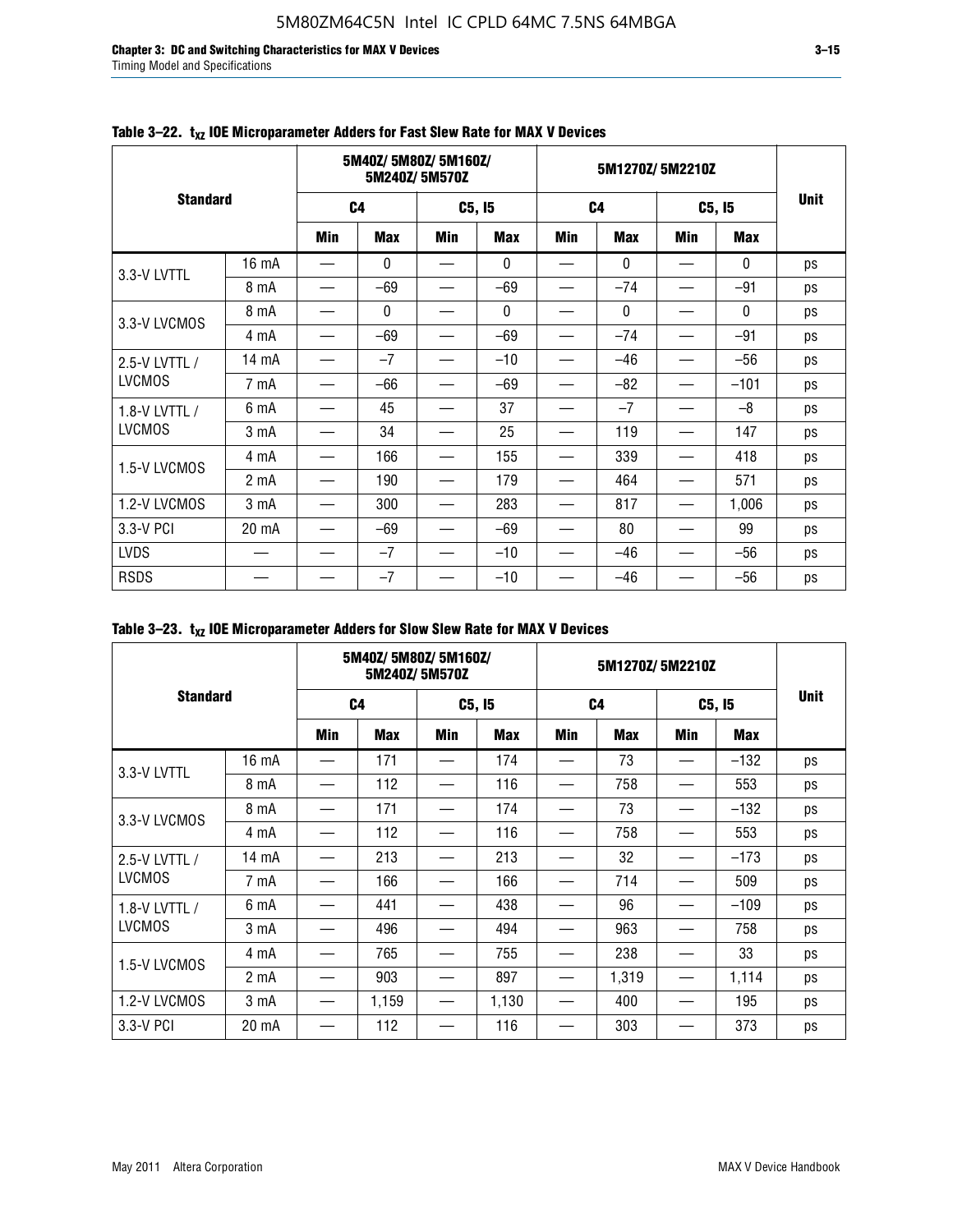**Chapter 3: DC and Switching Characteristics for MAX V Devices 3–15** Timing Model and Specifications

|                 |                  |                | 5M40Z/5M80Z/5M160Z/ | 5M240Z/5M570Z |              |                | 5M1270Z/5M2210Z |            |              |             |
|-----------------|------------------|----------------|---------------------|---------------|--------------|----------------|-----------------|------------|--------------|-------------|
| <b>Standard</b> |                  | C <sub>4</sub> |                     | C5, I5        |              | C <sub>4</sub> |                 | C5, I5     |              | <b>Unit</b> |
|                 |                  | <b>Min</b>     | <b>Max</b>          | <b>Min</b>    | <b>Max</b>   | <b>Min</b>     | <b>Max</b>      | <b>Min</b> | <b>Max</b>   |             |
| 3.3-V LVTTL     | 16 mA            |                | $\mathbf{0}$        |               | $\mathbf{0}$ |                | $\mathbf{0}$    |            | $\mathbf{0}$ | ps          |
|                 | 8 mA             |                | $-69$               |               | $-69$        |                | $-74$           |            | $-91$        | ps          |
| 3.3-V LVCMOS    | 8 mA             |                | 0                   |               | 0            |                | $\mathbf{0}$    |            | $\mathbf{0}$ | ps          |
|                 | 4 mA             |                | $-69$               |               | $-69$        |                | $-74$           |            | $-91$        | ps          |
| 2.5-V LVTTL /   | 14 mA            |                | $-7$                |               | $-10$        |                | $-46$           |            | $-56$        | ps          |
| <b>LVCMOS</b>   | 7 mA             |                | $-66$               |               | $-69$        |                | $-82$           |            | $-101$       | ps          |
| 1.8-V LVTTL /   | 6 mA             |                | 45                  |               | 37           |                | $-7$            |            | $-8$         | ps          |
| <b>LVCMOS</b>   | 3 <sub>m</sub> A |                | 34                  |               | 25           |                | 119             |            | 147          | ps          |
| 1.5-V LVCMOS    | 4 mA             |                | 166                 |               | 155          |                | 339             |            | 418          | ps          |
|                 | 2 <sub>m</sub> A |                | 190                 |               | 179          |                | 464             |            | 571          | ps          |
| 1.2-V LVCMOS    | 3 mA             |                | 300                 |               | 283          |                | 817             |            | 1,006        | ps          |
| 3.3-V PCI       | 20 mA            |                | $-69$               |               | $-69$        |                | 80              |            | 99           | ps          |
| <b>LVDS</b>     |                  |                | $-7$                |               | $-10$        |                | $-46$           |            | $-56$        | ps          |
| <b>RSDS</b>     |                  |                | $-7$                |               | $-10$        |                | $-46$           |            | $-56$        | ps          |

### Table 3-22. t<sub>xz</sub> IOE Microparameter Adders for Fast Slew Rate for MAX V Devices

| Table 3–23. $t_{XZ}$ IOE Microparameter Adders for Slow Slew Rate for MAX V Devices |  |  |
|-------------------------------------------------------------------------------------|--|--|
|-------------------------------------------------------------------------------------|--|--|

|                 |                  | 5M40Z/5M80Z/5M160Z/ | 5M240Z/5M570Z |                          |            | 5M1270Z/5M2210Z |            |        |            |             |
|-----------------|------------------|---------------------|---------------|--------------------------|------------|-----------------|------------|--------|------------|-------------|
| <b>Standard</b> |                  | C <sub>4</sub>      |               | C5, I5                   |            | C <sub>4</sub>  |            | C5, I5 |            | <b>Unit</b> |
|                 |                  | Min                 | <b>Max</b>    | Min                      | <b>Max</b> | Min             | <b>Max</b> | Min    | <b>Max</b> |             |
| 3.3-V LVTTL     | 16 mA            |                     | 171           | $\overline{\phantom{0}}$ | 174        | —               | 73         |        | $-132$     | ps          |
|                 | 8 mA             |                     | 112           |                          | 116        |                 | 758        |        | 553        | ps          |
| 3.3-V LVCMOS    | 8 mA             |                     | 171           |                          | 174        |                 | 73         |        | $-132$     | ps          |
|                 | 4 mA             |                     | 112           |                          | 116        |                 | 758        |        | 553        | ps          |
| 2.5-V LVTTL /   | 14 mA            |                     | 213           |                          | 213        |                 | 32         |        | $-173$     | ps          |
| <b>LVCMOS</b>   | 7 mA             |                     | 166           |                          | 166        |                 | 714        |        | 509        | ps          |
| 1.8-V LVTTL /   | 6 mA             |                     | 441           |                          | 438        |                 | 96         |        | $-109$     | ps          |
| <b>LVCMOS</b>   | 3 <sub>m</sub> A |                     | 496           |                          | 494        |                 | 963        |        | 758        | ps          |
| 1.5-V LVCMOS    | 4 mA             |                     | 765           |                          | 755        |                 | 238        |        | 33         | ps          |
|                 | 2 <sub>m</sub> A |                     | 903           |                          | 897        |                 | 1,319      |        | 1,114      | ps          |
| 1.2-V LVCMOS    | 3 mA             |                     | 1,159         | —                        | 1,130      | —               | 400        |        | 195        | ps          |
| 3.3-V PCI       | 20 mA            |                     | 112           |                          | 116        |                 | 303        |        | 373        | ps          |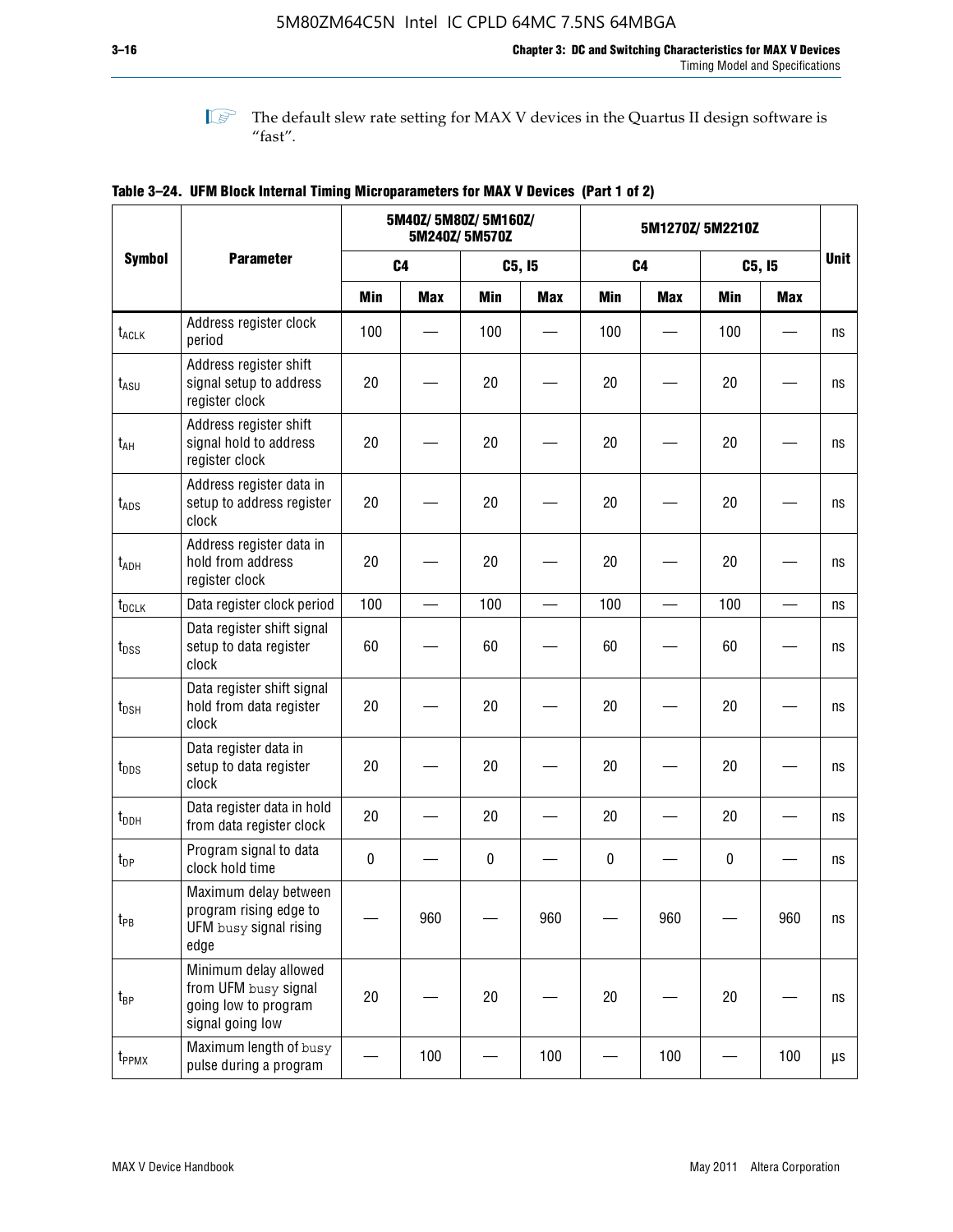**1 The default slew rate setting for MAX V devices in the Quartus II design software is**  $^{\prime\prime}$  fast".

|                    |                                                                                           |                | 5M40Z/ 5M80Z/ 5M160Z/    | 5M240Z/5M570Z |                          | 5M1270Z/5M2210Z |                          |            |            |                         |
|--------------------|-------------------------------------------------------------------------------------------|----------------|--------------------------|---------------|--------------------------|-----------------|--------------------------|------------|------------|-------------------------|
| <b>Symbol</b>      | <b>Parameter</b>                                                                          | C <sub>4</sub> |                          |               | C5, I5                   |                 | C <sub>4</sub>           | C5, I5     |            | <b>Unit</b>             |
|                    |                                                                                           | <b>Min</b>     | <b>Max</b>               | <b>Min</b>    | <b>Max</b>               | <b>Min</b>      | <b>Max</b>               | <b>Min</b> | <b>Max</b> |                         |
| t <sub>ACLK</sub>  | Address register clock<br>period                                                          | 100            |                          | 100           |                          | 100             |                          | 100        |            | ns                      |
| $t_{ASU}$          | Address register shift<br>signal setup to address<br>register clock                       | 20             |                          | 20            |                          | 20              |                          | 20         |            | ns                      |
| $t_{AH}$           | Address register shift<br>signal hold to address<br>register clock                        | 20             |                          | 20            |                          | 20              |                          | 20         |            | ns                      |
| $t_{\mathsf{ADS}}$ | Address register data in<br>setup to address register<br>clock                            | 20             |                          | 20            |                          | 20              |                          | 20         |            | ns                      |
| t <sub>ADH</sub>   | Address register data in<br>hold from address<br>register clock                           | 20             |                          | 20            |                          | 20              |                          | 20         |            | ns                      |
| t <sub>DCLK</sub>  | Data register clock period                                                                | 100            | $\overline{\phantom{0}}$ | 100           | $\overline{\phantom{0}}$ | 100             | $\overline{\phantom{0}}$ | 100        |            | ns                      |
| $t_{DSS}$          | Data register shift signal<br>setup to data register<br>clock                             | 60             |                          | 60            |                          | 60              |                          | 60         |            | ns                      |
| $t_{DSH}$          | Data register shift signal<br>hold from data register<br>clock                            | 20             |                          | 20            |                          | 20              |                          | 20         |            | ns                      |
| $t_{\text{DDS}}$   | Data register data in<br>setup to data register<br>clock                                  | 20             |                          | 20            |                          | 20              |                          | 20         |            | ns                      |
| $t_{DDH}$          | Data register data in hold<br>from data register clock                                    | 20             |                          | 20            |                          | 20              |                          | 20         |            | ns                      |
| $t_{DP}$           | Program signal to data<br>clock hold time                                                 | $\pmb{0}$      |                          | 0             |                          | 0               |                          | 0          |            | ns                      |
| $t_{PB}$           | Maximum delay between<br>program rising edge to<br>UFM busy signal rising<br>edge         |                | 960                      |               | 960                      |                 | 960                      |            | 960        | $\operatorname{\sf ns}$ |
| $t_{\mathsf{BP}}$  | Minimum delay allowed<br>from UFM busy signal<br>going low to program<br>signal going low | 20             |                          | 20            |                          | 20              |                          | 20         |            | ns                      |
| t <sub>PPMX</sub>  | Maximum length of busy<br>pulse during a program                                          |                | 100                      |               | 100                      |                 | 100                      |            | 100        | μs                      |

### **Table 3–24. UFM Block Internal Timing Microparameters for MAX V Devices (Part 1 of 2)**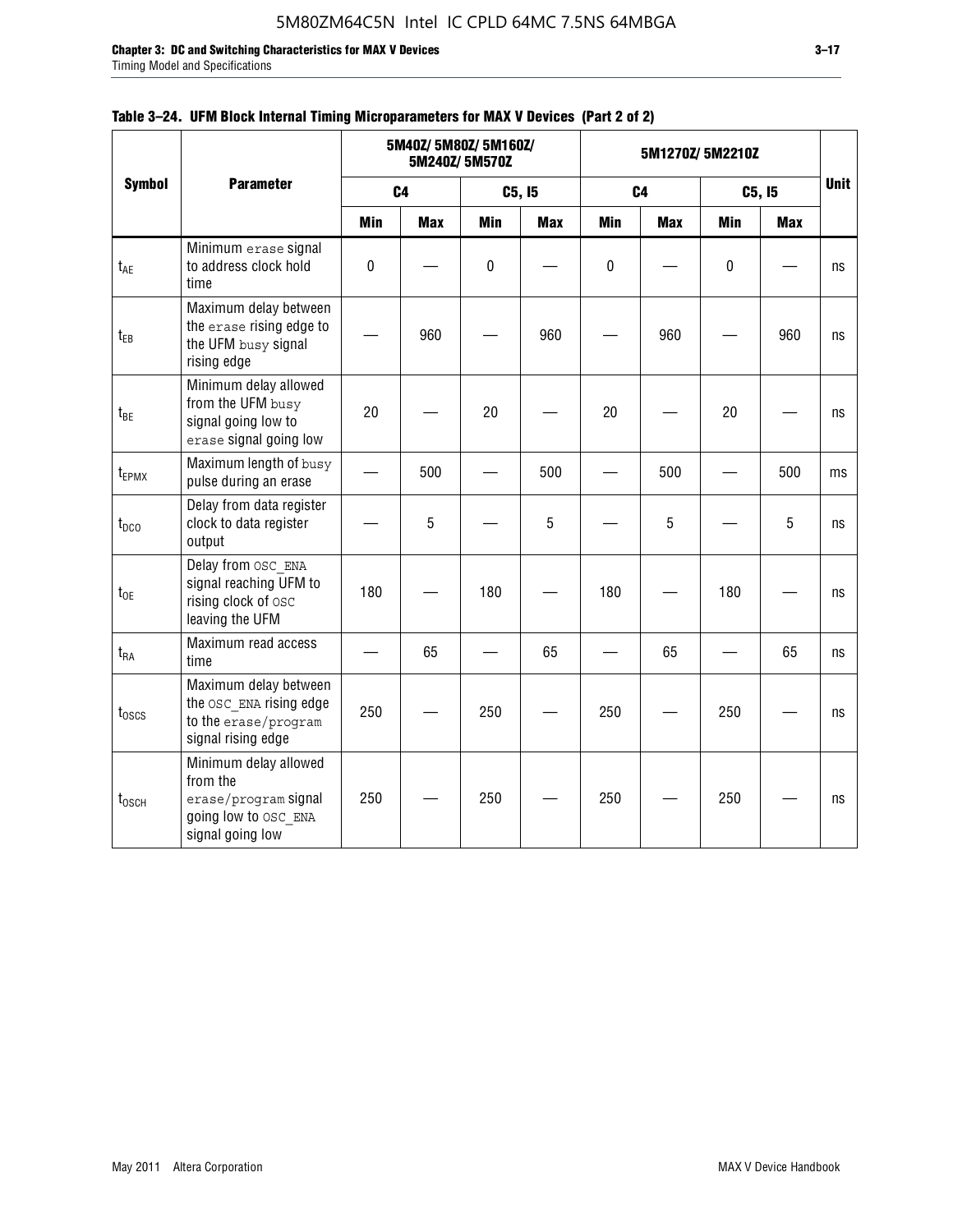**Chapter 3: DC and Switching Characteristics for MAX V Devices 3–17**

Timing Model and Specifications

|                           | <b>Parameter</b>                                                                                      |                          | 5M40Z/ 5M80Z/ 5M160Z/ | 5M240Z/5M570Z |            |                | 5M1270Z/5M2210Z |                          |            |             |
|---------------------------|-------------------------------------------------------------------------------------------------------|--------------------------|-----------------------|---------------|------------|----------------|-----------------|--------------------------|------------|-------------|
| <b>Symbol</b>             |                                                                                                       | C <sub>4</sub>           |                       | C5, I5        |            | C <sub>4</sub> |                 | C5, I5                   |            | <b>Unit</b> |
|                           |                                                                                                       | <b>Min</b>               | <b>Max</b>            | <b>Min</b>    | <b>Max</b> | <b>Min</b>     | <b>Max</b>      | Min                      | <b>Max</b> |             |
| t <sub>AE</sub>           | Minimum erase signal<br>to address clock hold<br>time                                                 | $\mathbf 0$              |                       | $\mathbf 0$   |            | $\mathbf 0$    |                 | $\mathbf 0$              |            | ns          |
| $t_{EB}$                  | Maximum delay between<br>the erase rising edge to<br>the UFM busy signal<br>rising edge               |                          | 960                   |               | 960        |                | 960             |                          | 960        | ns          |
| $t_{BE}$                  | Minimum delay allowed<br>from the UFM busy<br>signal going low to<br>erase signal going low           | 20                       |                       | 20            |            | 20             |                 | 20                       |            | ns          |
| $t_{EPMX}$                | Maximum length of busy<br>pulse during an erase                                                       | $\overline{\phantom{0}}$ | 500                   |               | 500        |                | 500             | $\overline{\phantom{0}}$ | 500        | ms          |
| $t_{DCO}$                 | Delay from data register<br>clock to data register<br>output                                          |                          | 5                     |               | 5          |                | 5               |                          | 5          | ns          |
| $t_{0E}$                  | Delay from OSC ENA<br>signal reaching UFM to<br>rising clock of osc<br>leaving the UFM                | 180                      |                       | 180           |            | 180            |                 | 180                      |            | ns          |
| $t_{RA}$                  | Maximum read access<br>time                                                                           |                          | 65                    |               | 65         |                | 65              |                          | 65         | ns          |
| $t_{\rm 0SCS}$            | Maximum delay between<br>the OSC ENA rising edge<br>to the erase/program<br>signal rising edge        | 250                      |                       | 250           |            | 250            |                 | 250                      |            | ns          |
| $t_{\tiny \textrm{OSCH}}$ | Minimum delay allowed<br>from the<br>erase/program signal<br>going low to OSC ENA<br>signal going low | 250                      |                       | 250           |            | 250            |                 | 250                      |            | ns          |

### **Table 3–24. UFM Block Internal Timing Microparameters for MAX V Devices (Part 2 of 2)**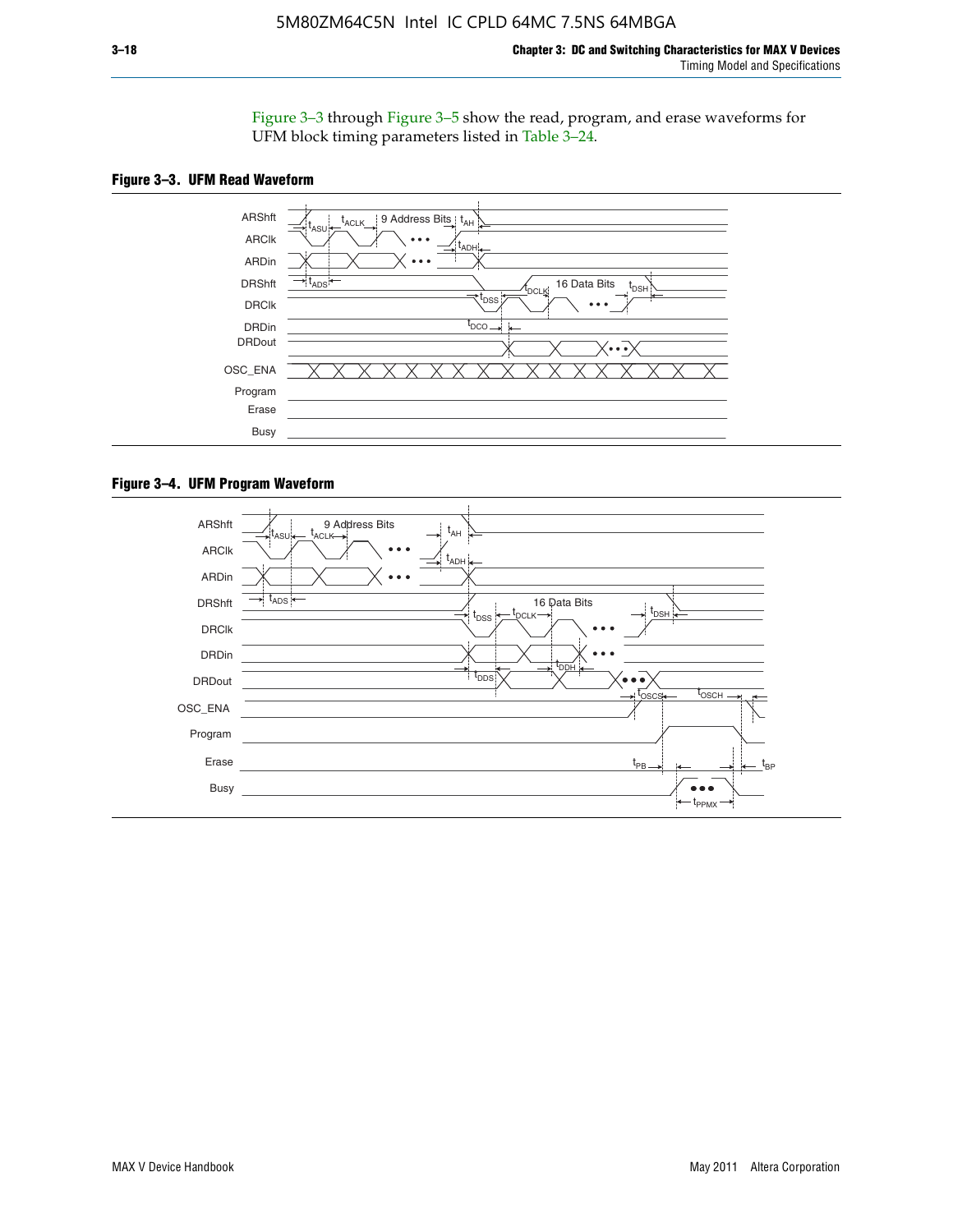Figure 3–3 through Figure 3–5 show the read, program, and erase waveforms for UFM block timing parameters listed in Table 3–24.





#### **Figure 3–4. UFM Program Waveform**

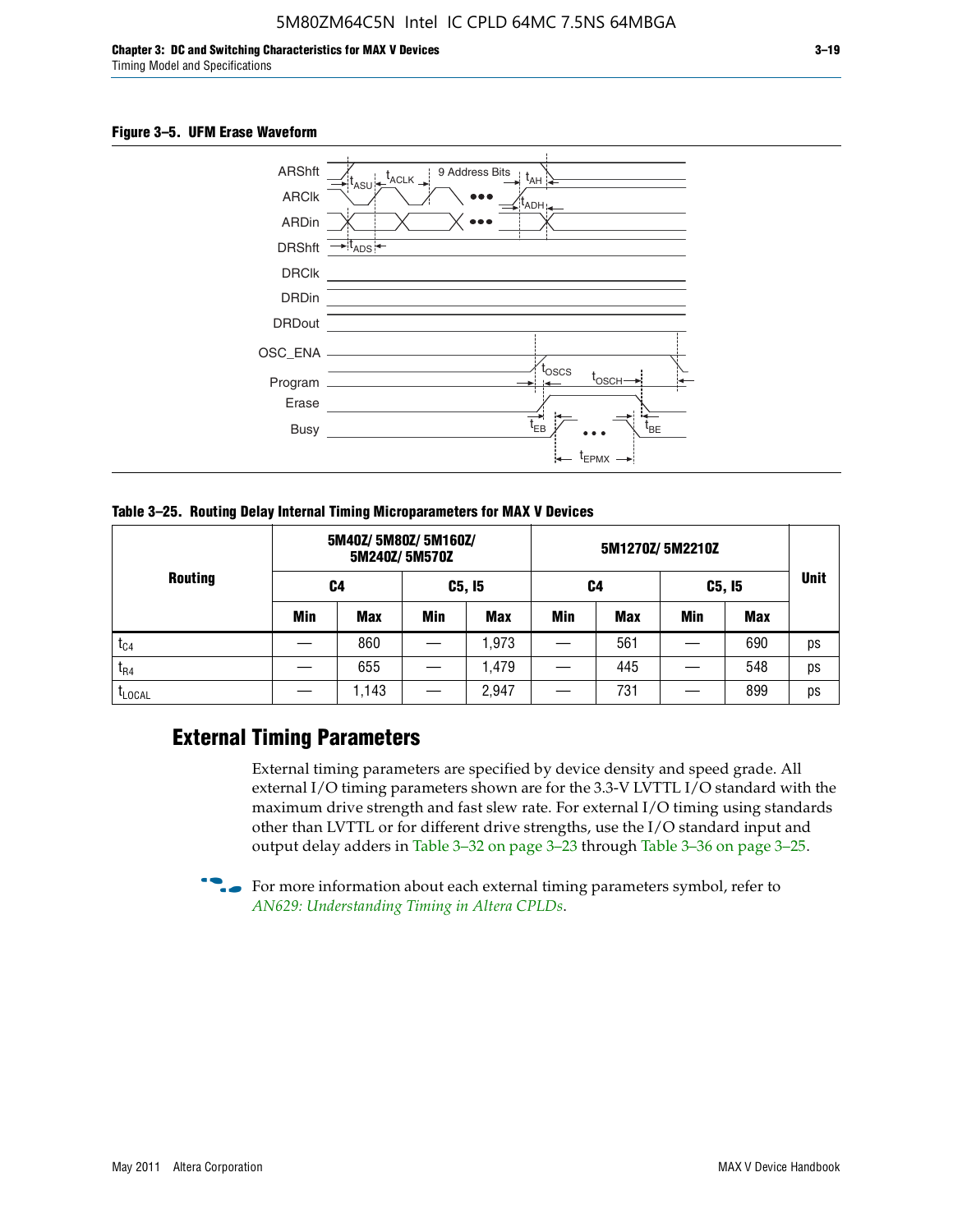

**Table 3–25. Routing Delay Internal Timing Microparameters for MAX V Devices**

|                |     | 5M40Z/5M80Z/5M160Z/ | 5M240Z/5M570Z |            |     |            |            |            |             |
|----------------|-----|---------------------|---------------|------------|-----|------------|------------|------------|-------------|
| <b>Routing</b> | C4  |                     | C5, I5        |            | C4  |            | C5, I5     |            | <b>Unit</b> |
|                | Min | <b>Max</b>          | Min           | <b>Max</b> | Min | <b>Max</b> | <b>Min</b> | <b>Max</b> |             |
| $t_{C4}$       |     | 860                 |               | ,973       |     | 561        |            | 690        | ps          |
| $I_{R4}$       |     | 655                 |               | .479       |     | 445        |            | 548        | ps          |
| <b>LLOCAL</b>  |     | 1,143               |               | 2,947      |     | 731        |            | 899        | ps          |

### **External Timing Parameters**

External timing parameters are specified by device density and speed grade. All external I/O timing parameters shown are for the 3.3-V LVTTL I/O standard with the maximum drive strength and fast slew rate. For external I/O timing using standards other than LVTTL or for different drive strengths, use the I/O standard input and output delay adders in Table 3–32 on page 3–23 through Table 3–36 on page 3–25.

 $\bullet$  For more information about each external timing parameters symbol, refer to *[AN629: Understanding Timing in Altera CPLDs](http://www.altera.com/literature/an/an629.pdf)*.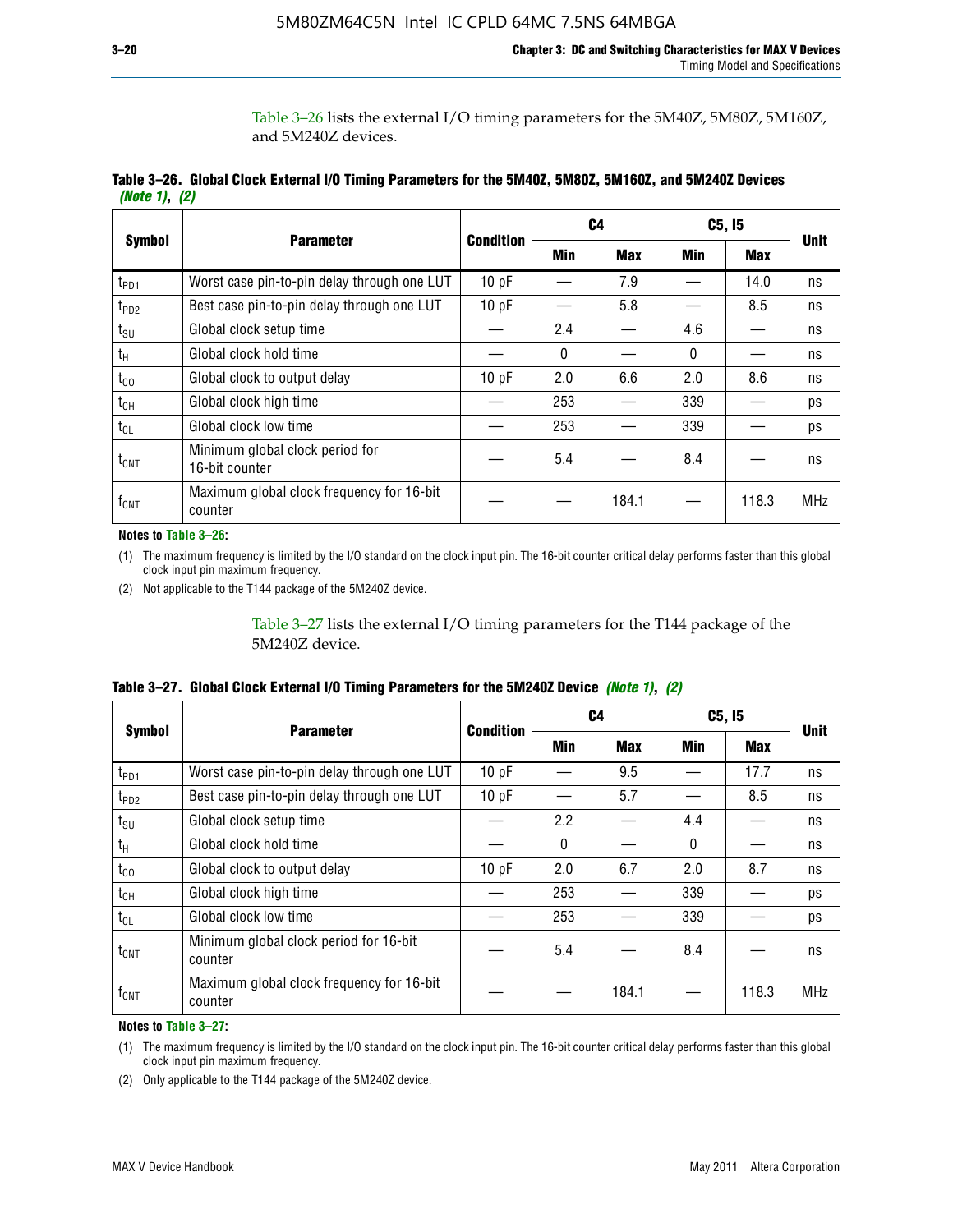Table 3–26 lists the external I/O timing parameters for the 5M40Z, 5M80Z, 5M160Z, and 5M240Z devices.

|               | Table 3–26. Global Clock External I/O Timing Parameters for the 5M40Z, 5M80Z, 5M160Z, and 5M240Z Devices |  |  |
|---------------|----------------------------------------------------------------------------------------------------------|--|--|
| (Note 1), (2) |                                                                                                          |  |  |

|                  |                                                      |                  |              | C <sub>4</sub> | C5, I5       | <b>Unit</b> |            |
|------------------|------------------------------------------------------|------------------|--------------|----------------|--------------|-------------|------------|
| <b>Symbol</b>    | <b>Parameter</b>                                     | <b>Condition</b> | Min          | <b>Max</b>     | Min          | <b>Max</b>  |            |
| t <sub>PD1</sub> | Worst case pin-to-pin delay through one LUT          | 10pF             |              | 7.9            |              | 14.0        | ns         |
| t <sub>PD2</sub> | Best case pin-to-pin delay through one LUT           | 10pF             |              | 5.8            |              | 8.5         | ns         |
| $t_{\text{SU}}$  | Global clock setup time                              |                  | 2.4          |                | 4.6          |             | ns         |
| $t_{H}$          | Global clock hold time                               |                  | $\mathbf{0}$ |                | $\mathbf{0}$ |             | ns         |
| $t_{CO}$         | Global clock to output delay                         | 10pF             | 2.0          | 6.6            | 2.0          | 8.6         | ns         |
| $t_{CH}$         | Global clock high time                               |                  | 253          |                | 339          |             | ps         |
| $t_{CL}$         | Global clock low time                                |                  | 253          |                | 339          |             | ps         |
| $t_{\text{CNT}}$ | Minimum global clock period for<br>16-bit counter    |                  | 5.4          |                | 8.4          |             | ns         |
| $f_{\text{CNT}}$ | Maximum global clock frequency for 16-bit<br>counter |                  |              | 184.1          |              | 118.3       | <b>MHz</b> |

**Notes to Table 3–26:**

(1) The maximum frequency is limited by the I/O standard on the clock input pin. The 16-bit counter critical delay performs faster than this global clock input pin maximum frequency.

(2) Not applicable to the T144 package of the 5M240Z device.

Table 3–27 lists the external I/O timing parameters for the T144 package of the 5M240Z device.

|  | Table 3–27. Global Clock External I/O Timing Parameters for the 5M240Z Device <i>(Note 1), (2)</i> |  |  |  |  |
|--|----------------------------------------------------------------------------------------------------|--|--|--|--|
|--|----------------------------------------------------------------------------------------------------|--|--|--|--|

|                    |                                                      |                  | C <sub>4</sub> |            | C5, I5   |            |             |
|--------------------|------------------------------------------------------|------------------|----------------|------------|----------|------------|-------------|
| <b>Symbol</b>      | <b>Parameter</b>                                     | <b>Condition</b> | Min            | <b>Max</b> | Min      | <b>Max</b> | <b>Unit</b> |
| t <sub>PD1</sub>   | Worst case pin-to-pin delay through one LUT          | 10 pF            |                | 9.5        |          | 17.7       | ns          |
| t <sub>PD2</sub>   | Best case pin-to-pin delay through one LUT           | 10pF             |                | 5.7        |          | 8.5        | ns          |
| $t_{\text{SU}}$    | Global clock setup time                              |                  | 2.2            |            | 4.4      |            | ns          |
| $t_{\rm H}$        | Global clock hold time                               |                  | $\Omega$       |            | $\Omega$ |            | ns          |
| $t_{CO}$           | Global clock to output delay                         | 10pF             | 2.0            | 6.7        | 2.0      | 8.7        | ns          |
| t <sub>CH</sub>    | Global clock high time                               |                  | 253            |            | 339      |            | ps          |
| $t_{CL}$           | Global clock low time                                |                  | 253            |            | 339      |            | ps          |
| $t_{\text{CNT}}$   | Minimum global clock period for 16-bit<br>counter    |                  | 5.4            |            | 8.4      |            | ns          |
| $f_{\mathsf{CNT}}$ | Maximum global clock frequency for 16-bit<br>counter |                  |                | 184.1      |          | 118.3      | <b>MHz</b>  |

**Notes to Table 3–27:**

(1) The maximum frequency is limited by the I/O standard on the clock input pin. The 16-bit counter critical delay performs faster than this global clock input pin maximum frequency.

(2) Only applicable to the T144 package of the 5M240Z device.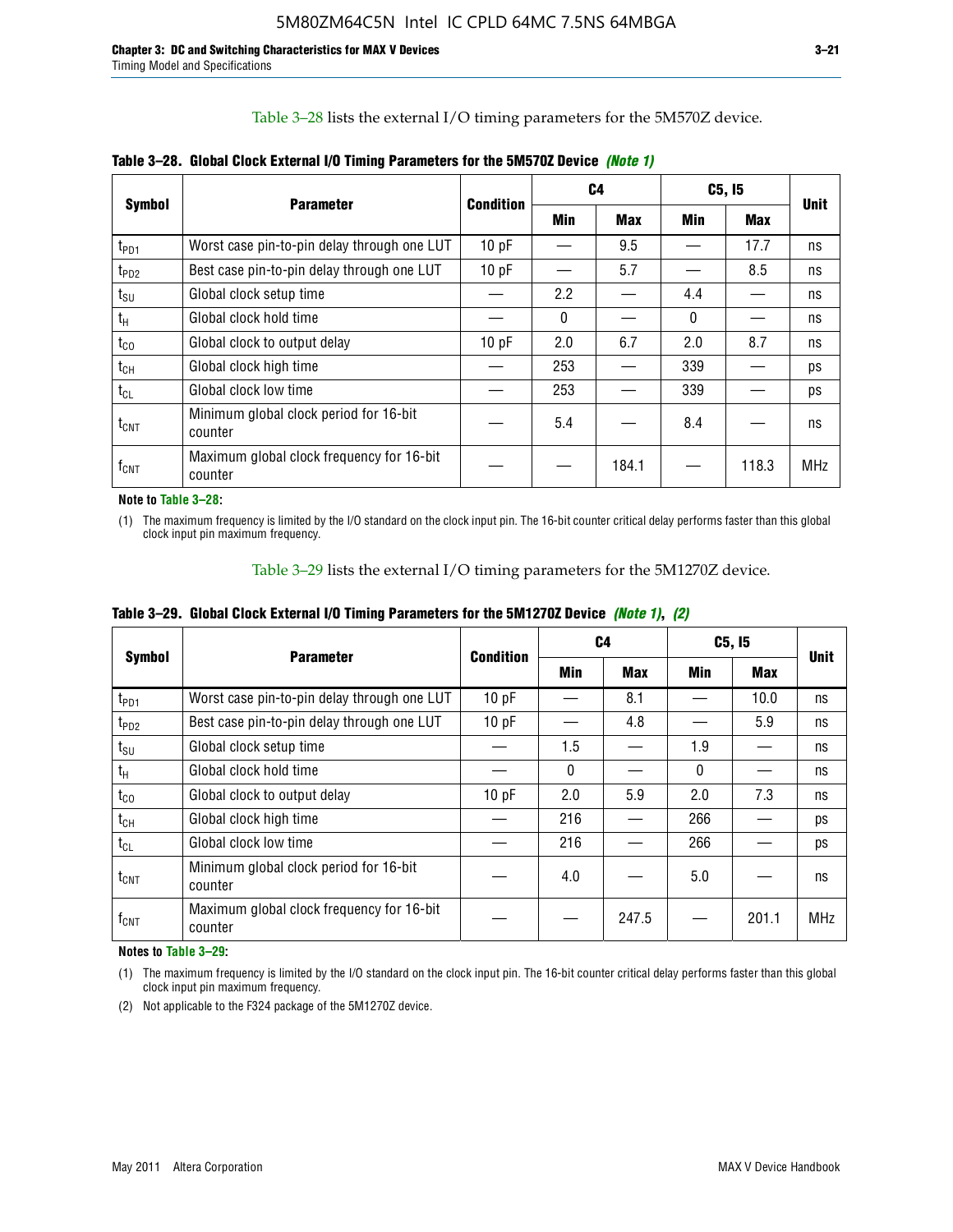Table 3–28 lists the external I/O timing parameters for the 5M570Z device.

|                    | <b>Parameter</b>                                     | <b>Condition</b> | C4           |            | C5, I5       | <b>Unit</b> |            |
|--------------------|------------------------------------------------------|------------------|--------------|------------|--------------|-------------|------------|
| <b>Symbol</b>      |                                                      |                  | <b>Min</b>   | <b>Max</b> | Min          | <b>Max</b>  |            |
| t <sub>PD1</sub>   | Worst case pin-to-pin delay through one LUT          | 10 pF            |              | 9.5        |              | 17.7        | ns         |
| $t_{PD2}$          | Best case pin-to-pin delay through one LUT           | 10pF             |              | 5.7        |              | 8.5         | ns         |
| $t_{\text{SU}}$    | Global clock setup time                              |                  | 2.2          |            | 4.4          |             | ns         |
| $t_{H}$            | Global clock hold time                               |                  | $\mathbf{0}$ |            | $\mathbf{0}$ |             | ns         |
| $t_{CO}$           | Global clock to output delay                         | 10pF             | 2.0          | 6.7        | 2.0          | 8.7         | ns         |
| $t_{CH}$           | Global clock high time                               |                  | 253          |            | 339          |             | ps         |
| $t_{CL}$           | Global clock low time                                |                  | 253          |            | 339          |             | ps         |
| $t_{\text{CNT}}$   | Minimum global clock period for 16-bit<br>counter    |                  | 5.4          |            | 8.4          |             | ns         |
| $f_{\mathsf{CNT}}$ | Maximum global clock frequency for 16-bit<br>counter |                  |              | 184.1      |              | 118.3       | <b>MHz</b> |

**Table 3–28. Global Clock External I/O Timing Parameters for the 5M570Z Device** *(Note 1)*

**Note to Table 3–28:**

(1) The maximum frequency is limited by the I/O standard on the clock input pin. The 16-bit counter critical delay performs faster than this global clock input pin maximum frequency.

Table 3–29 lists the external I/O timing parameters for the 5M1270Z device.

|  |  |  |  |  |  | Table 3–29. Global Clock External I/O Timing Parameters for the 5M1270Z Device <i>(Note 1), (2)</i> |  |  |  |
|--|--|--|--|--|--|-----------------------------------------------------------------------------------------------------|--|--|--|
|--|--|--|--|--|--|-----------------------------------------------------------------------------------------------------|--|--|--|

|                             |                                                      |           | C4         |            | C5, I5   |       |             |
|-----------------------------|------------------------------------------------------|-----------|------------|------------|----------|-------|-------------|
| <b>Symbol</b>               | <b>Parameter</b>                                     | Condition | <b>Min</b> | <b>Max</b> | Min      | Max   | <b>Unit</b> |
| $t_{PD1}$                   | Worst case pin-to-pin delay through one LUT          | 10pF      |            | 8.1        |          | 10.0  | ns          |
| $t_{PD2}$                   | Best case pin-to-pin delay through one LUT           | 10pF      |            | 4.8        |          | 5.9   | ns          |
| $t_{\scriptstyle\text{SU}}$ | Global clock setup time                              |           | 1.5        |            | 1.9      |       | ns          |
| $t_{\rm H}$                 | Global clock hold time                               |           | $\Omega$   |            | $\Omega$ |       | ns          |
| $t_{CO}$                    | Global clock to output delay                         | 10pF      | 2.0        | 5.9        | 2.0      | 7.3   | ns          |
| $t_{CH}$                    | Global clock high time                               |           | 216        |            | 266      |       | ps          |
| $t_{CL}$                    | Global clock low time                                |           | 216        |            | 266      |       | ps          |
| $t_{\text{CNT}}$            | Minimum global clock period for 16-bit<br>counter    |           | 4.0        |            | 5.0      |       | ns          |
| $\mathsf{f}_{\mathsf{CNT}}$ | Maximum global clock frequency for 16-bit<br>counter |           |            | 247.5      |          | 201.1 | <b>MHz</b>  |

**Notes to Table 3–29:**

(1) The maximum frequency is limited by the I/O standard on the clock input pin. The 16-bit counter critical delay performs faster than this global clock input pin maximum frequency.

(2) Not applicable to the F324 package of the 5M1270Z device.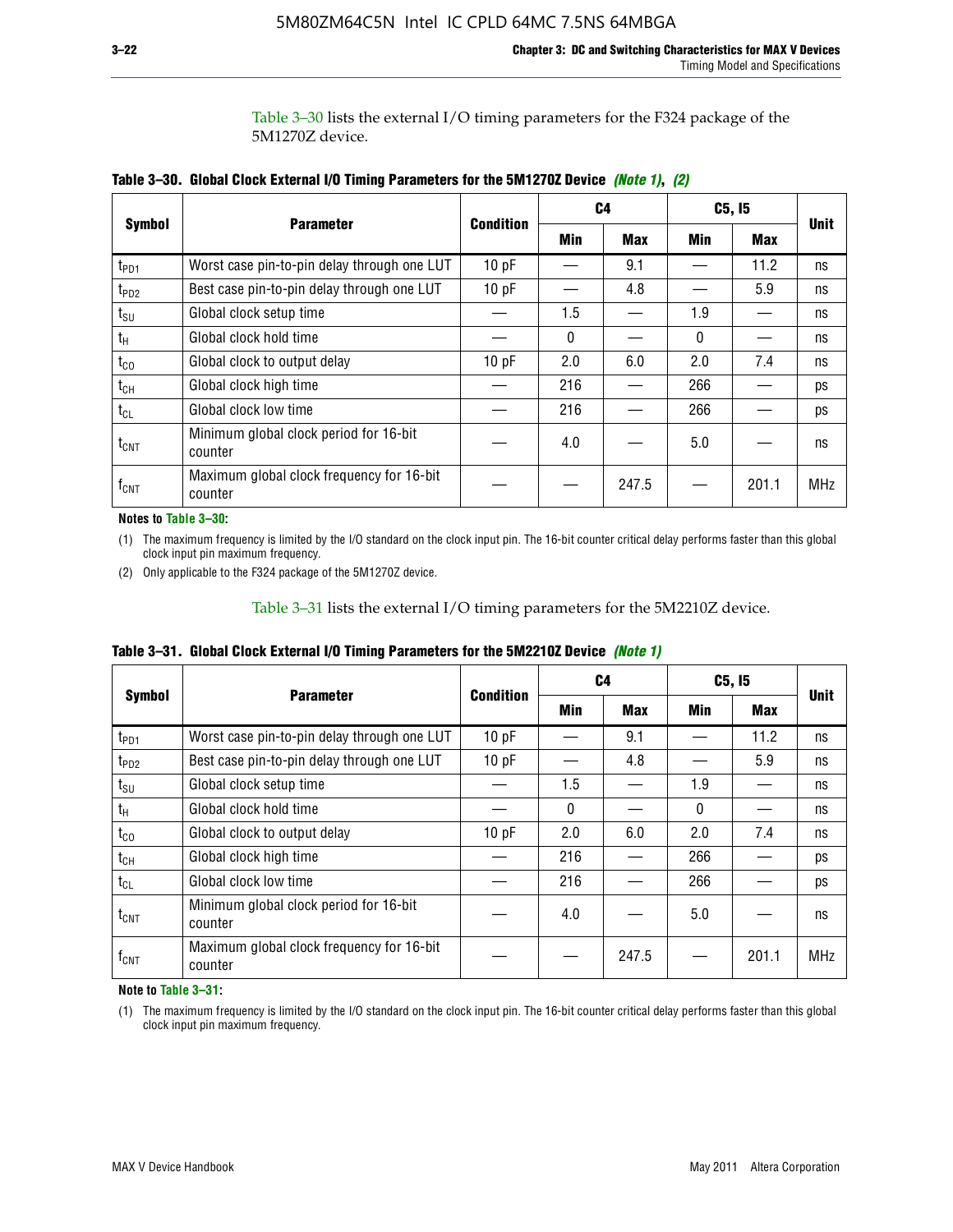Table 3–30 lists the external I/O timing parameters for the F324 package of the 5M1270Z device.

|                    |                                                      |                  | C <sub>4</sub> |            | C5, I5 |            |             |
|--------------------|------------------------------------------------------|------------------|----------------|------------|--------|------------|-------------|
| <b>Symbol</b>      | <b>Parameter</b>                                     | <b>Condition</b> | Min            | <b>Max</b> | Min    | <b>Max</b> | <b>Unit</b> |
| t <sub>PD1</sub>   | Worst case pin-to-pin delay through one LUT          | 10pF             |                | 9.1        |        | 11.2       | ns          |
| t <sub>PD2</sub>   | Best case pin-to-pin delay through one LUT           | 10pF             |                | 4.8        |        | 5.9        | ns          |
| $t_{\text{SU}}$    | Global clock setup time                              |                  | 1.5            |            | 1.9    |            | ns          |
| $t_{H}$            | Global clock hold time                               |                  | 0              |            | 0      |            | ns          |
| $t_{CO}$           | Global clock to output delay                         | 10pF             | 2.0            | 6.0        | 2.0    | 7.4        | ns          |
| $t_{CH}$           | Global clock high time                               |                  | 216            |            | 266    |            | ps          |
| $t_{CL}$           | Global clock low time                                |                  | 216            |            | 266    |            | ps          |
| $t_{\text{CNT}}$   | Minimum global clock period for 16-bit<br>counter    |                  | 4.0            |            | 5.0    |            | ns          |
| $f_{\mathsf{CNT}}$ | Maximum global clock frequency for 16-bit<br>counter |                  |                | 247.5      |        | 201.1      | <b>MHz</b>  |

**Table 3–30. Global Clock External I/O Timing Parameters for the 5M1270Z Device** *(Note 1)***,** *(2)*

**Notes to Table 3–30:**

(1) The maximum frequency is limited by the I/O standard on the clock input pin. The 16-bit counter critical delay performs faster than this global clock input pin maximum frequency.

(2) Only applicable to the F324 package of the 5M1270Z device.

Table 3–31 lists the external I/O timing parameters for the 5M2210Z device.

|  | Table 3–31. Global Clock External I/O Timing Parameters for the 5M2210Z Device <i>(Note 1)</i> |  |  |  |  |
|--|------------------------------------------------------------------------------------------------|--|--|--|--|
|--|------------------------------------------------------------------------------------------------|--|--|--|--|

|                    | <b>Parameter</b>                                     | <b>Condition</b> |          | C4         | C5, I5   | <b>Unit</b> |            |
|--------------------|------------------------------------------------------|------------------|----------|------------|----------|-------------|------------|
| <b>Symbol</b>      |                                                      |                  | Min      | <b>Max</b> | Min      | <b>Max</b>  |            |
| t <sub>PD1</sub>   | Worst case pin-to-pin delay through one LUT          | 10pF             |          | 9.1        |          | 11.2        | ns         |
| t <sub>PD2</sub>   | Best case pin-to-pin delay through one LUT           | 10 pF            |          | 4.8        |          | 5.9         | ns         |
| $t_{\text{SU}}$    | Global clock setup time                              |                  | 1.5      |            | 1.9      |             | ns         |
| $t_{H}$            | Global clock hold time                               |                  | $\Omega$ |            | $\Omega$ |             | ns         |
| $t_{\rm CO}$       | Global clock to output delay                         | 10pF             | 2.0      | 6.0        | 2.0      | 7.4         | ns         |
| $t_{CH}$           | Global clock high time                               |                  | 216      |            | 266      |             | ps         |
| $t_{CL}$           | Global clock low time                                |                  | 216      |            | 266      |             | ps         |
| $t_{\text{CNT}}$   | Minimum global clock period for 16-bit<br>counter    |                  | 4.0      |            | 5.0      |             | ns         |
| $f_{\mathsf{CNT}}$ | Maximum global clock frequency for 16-bit<br>counter |                  |          | 247.5      |          | 201.1       | <b>MHz</b> |

**Note to Table 3–31:**

(1) The maximum frequency is limited by the I/O standard on the clock input pin. The 16-bit counter critical delay performs faster than this global clock input pin maximum frequency.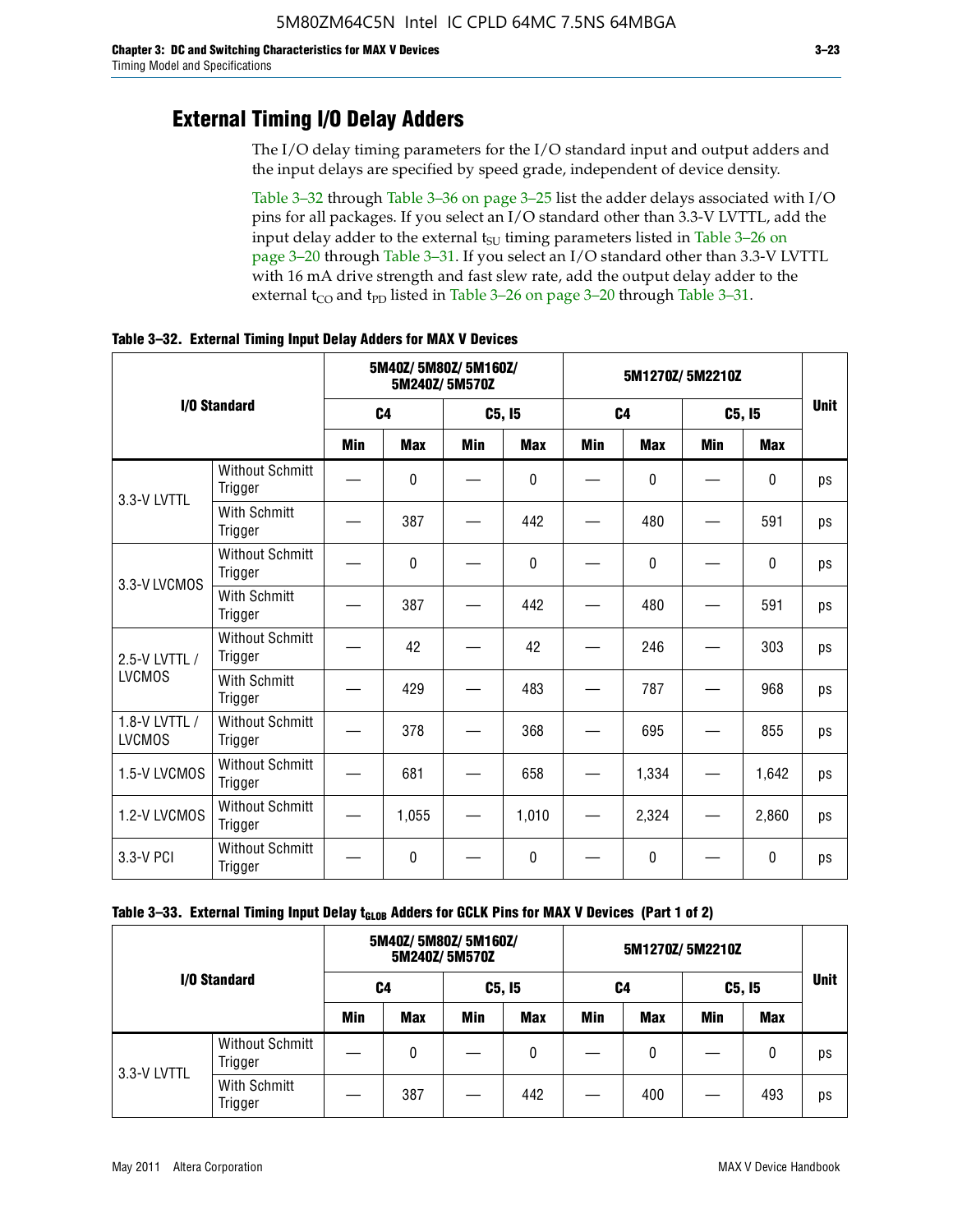### **External Timing I/O Delay Adders**

The I/O delay timing parameters for the I/O standard input and output adders and the input delays are specified by speed grade, independent of device density.

Table 3–32 through Table 3–36 on page 3–25 list the adder delays associated with I/O pins for all packages. If you select an I/O standard other than 3.3-V LVTTL, add the input delay adder to the external  $t_{\text{SU}}$  timing parameters listed in Table 3-26 on page 3–20 through Table 3–31. If you select an I/O standard other than 3.3-V LVTTL with 16 mA drive strength and fast slew rate, add the output delay adder to the external  $t_{CO}$  and  $t_{PD}$  listed in Table 3–26 on page 3–20 through Table 3–31.

|                                |                                   | 5M40Z/5M80Z/5M160Z/<br>5M240Z/5M570Z |                |     | 5M1270Z/5M2210Z |     |                |            |              |             |
|--------------------------------|-----------------------------------|--------------------------------------|----------------|-----|-----------------|-----|----------------|------------|--------------|-------------|
|                                | I/O Standard                      |                                      | C <sub>4</sub> |     | C5, I5          |     | C <sub>4</sub> |            | C5, I5       | <b>Unit</b> |
|                                |                                   | <b>Min</b>                           | <b>Max</b>     | Min | <b>Max</b>      | Min | <b>Max</b>     | <b>Min</b> | <b>Max</b>   |             |
| 3.3-V LVTTL                    | <b>Without Schmitt</b><br>Trigger |                                      | 0              |     | $\Omega$        |     | $\mathbf{0}$   |            | $\mathbf{0}$ | ps          |
|                                | <b>With Schmitt</b><br>Trigger    |                                      | 387            |     | 442             |     | 480            |            | 591          | ps          |
| 3.3-V LVCMOS                   | <b>Without Schmitt</b><br>Trigger |                                      | 0              |     | 0               |     | 0              |            | $\mathbf{0}$ | ps          |
|                                | <b>With Schmitt</b><br>Trigger    |                                      | 387            |     | 442             |     | 480            |            | 591          | ps          |
| 2.5-V LVTTL /                  | <b>Without Schmitt</b><br>Trigger |                                      | 42             |     | 42              |     | 246            |            | 303          | ps          |
| <b>LVCMOS</b>                  | With Schmitt<br>Trigger           |                                      | 429            |     | 483             |     | 787            |            | 968          | ps          |
| 1.8-V LVTTL /<br><b>LVCMOS</b> | <b>Without Schmitt</b><br>Trigger |                                      | 378            |     | 368             |     | 695            |            | 855          | ps          |
| 1.5-V LVCMOS                   | <b>Without Schmitt</b><br>Trigger |                                      | 681            |     | 658             |     | 1,334          |            | 1,642        | ps          |
| 1.2-V LVCMOS                   | <b>Without Schmitt</b><br>Trigger |                                      | 1,055          |     | 1,010           |     | 2,324          |            | 2,860        | ps          |
| 3.3-V PCI                      | <b>Without Schmitt</b><br>Trigger |                                      | 0              |     | 0               |     | 0              |            | 0            | ps          |

**Table 3–32. External Timing Input Delay Adders for MAX V Devices**

| Table 3–33. External Timing Input Delay t <sub>GLOB</sub> Adders for GCLK Pins for MAX V Devices (Part 1 of 2) |  |  |
|----------------------------------------------------------------------------------------------------------------|--|--|
|----------------------------------------------------------------------------------------------------------------|--|--|

| I/O Standard |                                   | 5M40Z/ 5M80Z/ 5M160Z/<br>5M240Z/5M570Z |            |     |            |     |            |     |            |    |
|--------------|-----------------------------------|----------------------------------------|------------|-----|------------|-----|------------|-----|------------|----|
|              |                                   | C4                                     |            |     | C5, I5     |     | C4         |     | C5, 15     |    |
|              |                                   | <b>Min</b>                             | <b>Max</b> | Min | <b>Max</b> | Min | <b>Max</b> | Min | <b>Max</b> |    |
| 3.3-V LVTTL  | <b>Without Schmitt</b><br>Trigger |                                        | 0          |     | 0          |     | 0          |     | 0          | ps |
|              | With Schmitt<br>Trigger           |                                        | 387        |     | 442        |     | 400        |     | 493        | ps |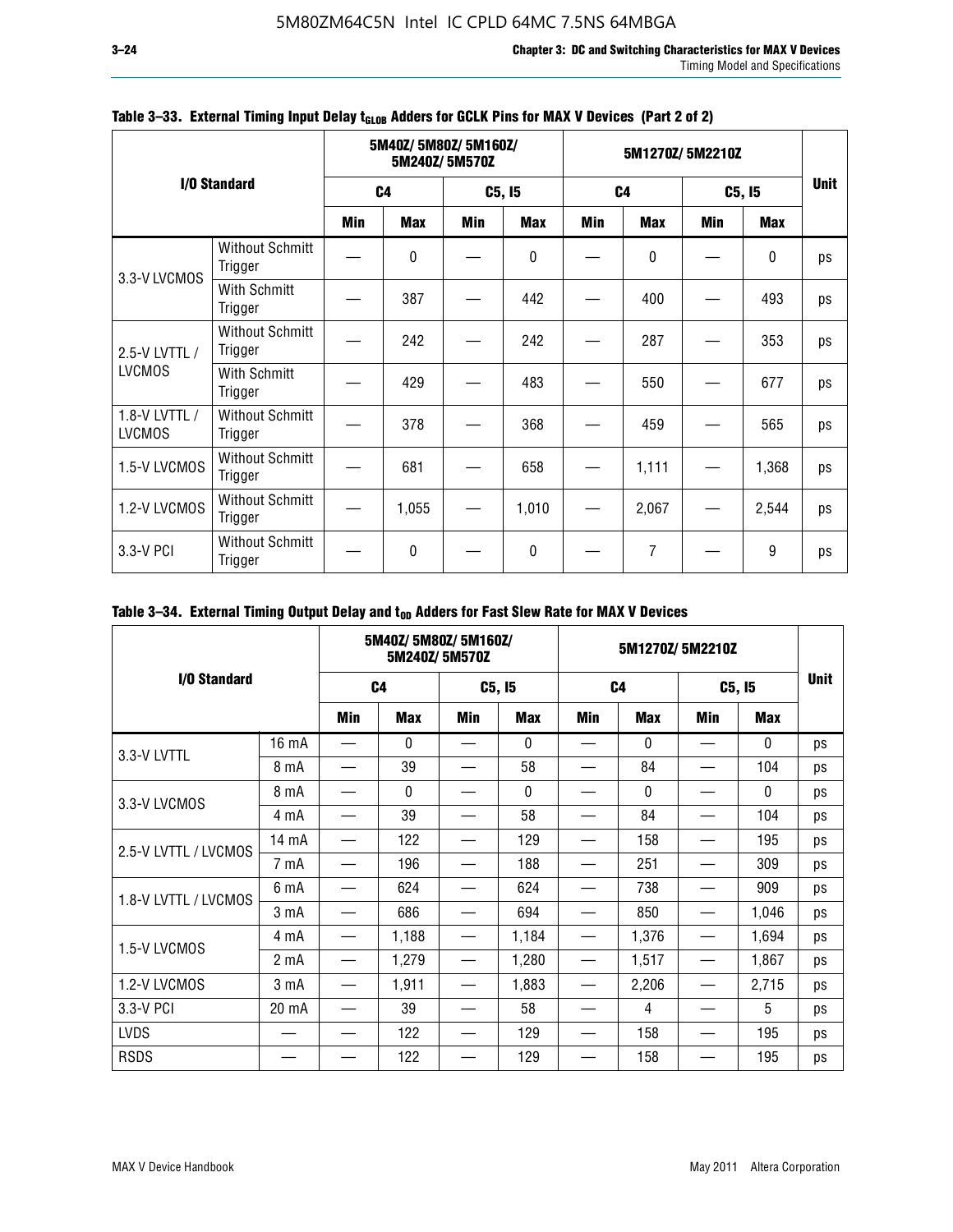|                                |                                   |     | 5M40Z/5M80Z/5M160Z/ | 5M240Z/5M570Z |            | 5M1270Z/5M2210Z |                |     |            |             |  |
|--------------------------------|-----------------------------------|-----|---------------------|---------------|------------|-----------------|----------------|-----|------------|-------------|--|
|                                | I/O Standard                      |     | C <sub>4</sub>      |               | C5, I5     |                 | C <sub>4</sub> |     | C5, I5     | <b>Unit</b> |  |
|                                |                                   | Min | <b>Max</b>          | Min           | <b>Max</b> | Min             | <b>Max</b>     | Min | <b>Max</b> |             |  |
| 3.3-V LVCMOS                   | <b>Without Schmitt</b><br>Trigger |     | $\Omega$            |               | 0          |                 | 0              |     | $\pmb{0}$  | ps          |  |
|                                | With Schmitt<br>Trigger           |     | 387                 |               | 442        |                 | 400            |     | 493        | ps          |  |
| 2.5-V LVTTL /                  | <b>Without Schmitt</b><br>Trigger |     | 242                 |               | 242        |                 | 287            |     | 353        | ps          |  |
| <b>LVCMOS</b>                  | With Schmitt<br>Trigger           |     | 429                 |               | 483        |                 | 550            |     | 677        | ps          |  |
| 1.8-V LVTTL /<br><b>LVCMOS</b> | <b>Without Schmitt</b><br>Trigger |     | 378                 |               | 368        |                 | 459            |     | 565        | ps          |  |
| 1.5-V LVCMOS                   | <b>Without Schmitt</b><br>Trigger |     | 681                 |               | 658        |                 | 1,111          |     | 1,368      | ps          |  |
| 1.2-V LVCMOS                   | <b>Without Schmitt</b><br>Trigger |     | 1,055               |               | 1,010      |                 | 2,067          |     | 2,544      | ps          |  |
| 3.3-V PCI                      | <b>Without Schmitt</b><br>Trigger |     | $\mathbf{0}$        |               | 0          |                 | 7              |     | 9          | ps          |  |

### Table 3-33. External Timing Input Delay t<sub>GLOB</sub> Adders for GCLK Pins for MAX V Devices (Part 2 of 2)

### Table 3-34. External Timing Output Delay and t<sub>op</sub> Adders for Fast Slew Rate for MAX V Devices

|                      |                  |            | 5M40Z/ 5M80Z/ 5M160Z/ | 5M240Z/5M570Z |              | 5M1270Z/5M2210Z |                |                               |              |             |
|----------------------|------------------|------------|-----------------------|---------------|--------------|-----------------|----------------|-------------------------------|--------------|-------------|
| I/O Standard         |                  |            | C <sub>4</sub>        |               | C5, I5       |                 | C <sub>4</sub> |                               | C5, I5       | <b>Unit</b> |
|                      |                  | <b>Min</b> | <b>Max</b>            | <b>Min</b>    | <b>Max</b>   | Min             | <b>Max</b>     | Min                           | Max          |             |
| 3.3-V LVTTL          | 16 mA            |            | $\mathbf{0}$          |               | $\mathbf{0}$ |                 | $\Omega$       |                               | $\mathbf{0}$ | ps          |
|                      | 8 mA             |            | 39                    |               | 58           |                 | 84             |                               | 104          | ps          |
| 3.3-V LVCMOS         | 8 mA             |            | $\mathbf{0}$          |               | $\Omega$     |                 | $\Omega$       |                               | $\Omega$     | ps          |
|                      | 4 mA             |            | 39                    |               | 58           |                 | 84             |                               | 104          | ps          |
| 2.5-V LVTTL / LVCMOS | 14 mA            |            | 122                   |               | 129          |                 | 158            |                               | 195          | ps          |
|                      | 7 mA             |            | 196                   |               | 188          |                 | 251            |                               | 309          | ps          |
| 1.8-V LVTTL / LVCMOS | 6 mA             |            | 624                   |               | 624          |                 | 738            |                               | 909          | ps          |
|                      | 3 mA             |            | 686                   |               | 694          |                 | 850            |                               | 1,046        | ps          |
| 1.5-V LVCMOS         | 4 mA             | —          | 1,188                 | —             | 1,184        |                 | 1,376          |                               | 1,694        | ps          |
|                      | 2 <sub>m</sub> A | —          | 1,279                 |               | 1,280        |                 | 1,517          | $\overbrace{\phantom{13333}}$ | 1,867        | ps          |
| 1.2-V LVCMOS         | 3 <sub>m</sub> A | —          | 1,911                 |               | 1,883        |                 | 2,206          |                               | 2,715        | ps          |
| 3.3-V PCI            | 20 mA            |            | 39                    |               | 58           |                 | 4              |                               | 5            | ps          |
| <b>LVDS</b>          |                  |            | 122                   |               | 129          |                 | 158            |                               | 195          | ps          |
| <b>RSDS</b>          |                  |            | 122                   |               | 129          |                 | 158            |                               | 195          | ps          |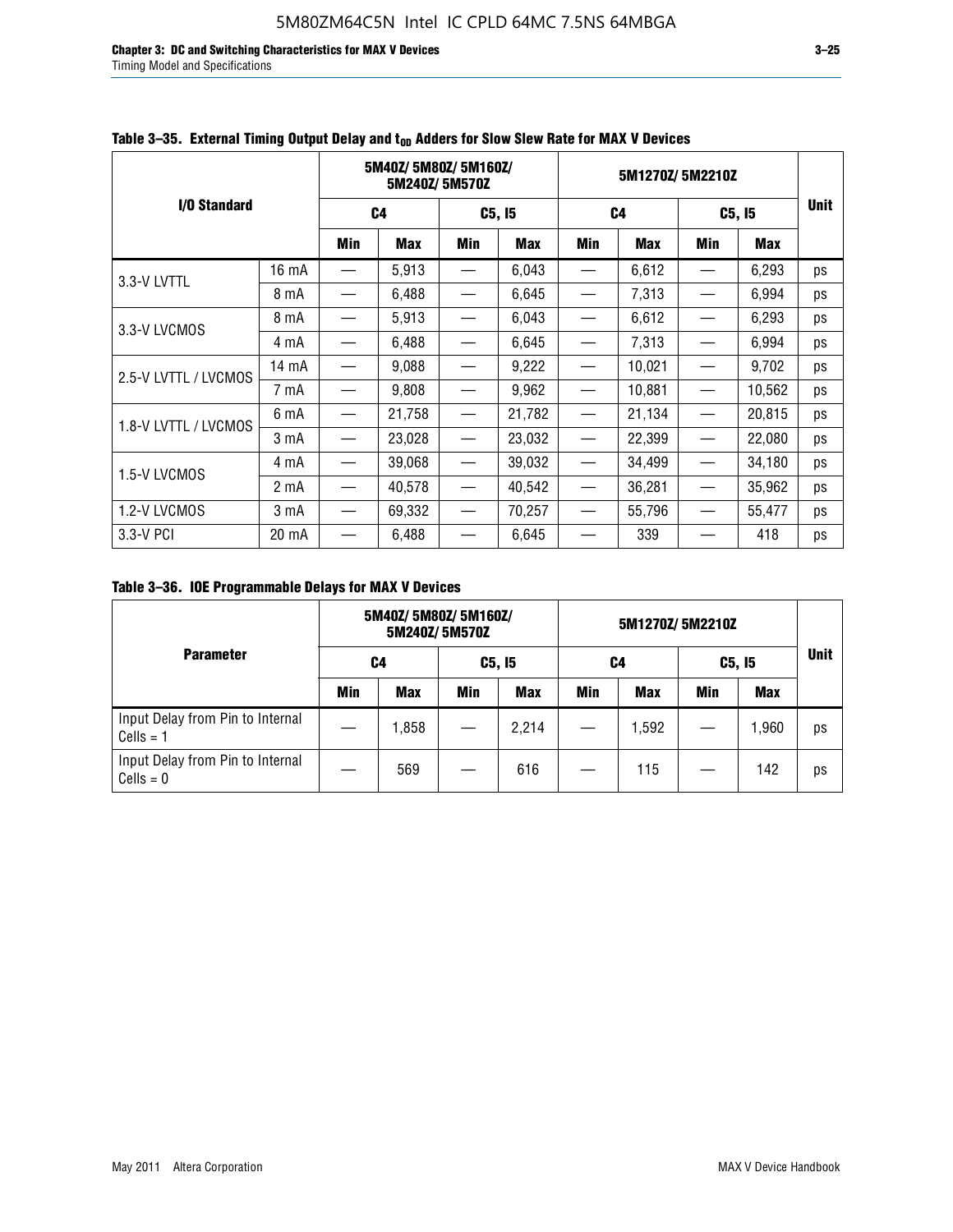**Chapter 3: DC and Switching Characteristics for MAX V Devices 3–25** Timing Model and Specifications

|                      |                  |                                   | 5M40Z/5M80Z/5M160Z/ | 5M240Z/5M570Z            |            | 5M1270Z/5M2210Z |                |                               |        |             |
|----------------------|------------------|-----------------------------------|---------------------|--------------------------|------------|-----------------|----------------|-------------------------------|--------|-------------|
| I/O Standard         |                  |                                   | C4                  |                          | C5, I5     |                 | C <sub>4</sub> | C5, I5                        |        | <b>Unit</b> |
|                      |                  | Min                               | <b>Max</b>          | Min                      | <b>Max</b> | Min             | <b>Max</b>     | Min                           | Max    |             |
| 3.3-V LVTTL          | 16 mA            |                                   | 5,913               |                          | 6,043      |                 | 6,612          |                               | 6,293  | ps          |
|                      | 8 mA             | $\overline{\phantom{0}}$          | 6,488               | —                        | 6,645      |                 | 7,313          |                               | 6,994  | ps          |
| 3.3-V LVCMOS         | 8 mA             |                                   | 5,913               | $\overline{\phantom{0}}$ | 6,043      |                 | 6,612          |                               | 6,293  | ps          |
|                      | 4 mA             | —                                 | 6,488               | $\overline{\phantom{0}}$ | 6,645      |                 | 7,313          | $\overbrace{\phantom{13333}}$ | 6,994  | ps          |
| 2.5-V LVTTL / LVCMOS | 14 mA            |                                   | 9,088               |                          | 9,222      |                 | 10,021         |                               | 9,702  | ps          |
|                      | 7 mA             |                                   | 9,808               |                          | 9,962      |                 | 10,881         |                               | 10,562 | ps          |
| 1.8-V LVTTL / LVCMOS | 6 mA             | $\overline{\phantom{0}}$          | 21,758              |                          | 21,782     |                 | 21,134         |                               | 20,815 | ps          |
|                      | 3 mA             |                                   | 23,028              | $\overline{\phantom{0}}$ | 23,032     |                 | 22,399         | $\overline{\phantom{m}}$      | 22,080 | ps          |
| 1.5-V LVCMOS         | 4 mA             | $\hspace{0.05cm}$                 | 39,068              | $\overline{\phantom{m}}$ | 39,032     |                 | 34,499         |                               | 34,180 | ps          |
|                      | 2 mA             |                                   | 40,578              |                          | 40,542     |                 | 36,281         |                               | 35,962 | ps          |
| 1.2-V LVCMOS         | 3 <sub>m</sub> A | $\overbrace{\phantom{123221111}}$ | 69,332              |                          | 70,257     |                 | 55,796         |                               | 55,477 | ps          |
| 3.3-V PCI            | 20 mA            |                                   | 6,488               |                          | 6,645      |                 | 339            |                               | 418    | ps          |

### Table 3–35. External Timing Output Delay and t<sub>on</sub> Adders for Slow Slew Rate for MAX V Devices

**Table 3–36. IOE Programmable Delays for MAX V Devices**

|                                                 |     | 5M40Z/5M80Z/5M160Z/ | 5M240Z/5M570Z |            | 5M1270Z/5M2210Z |       |        |            |             |
|-------------------------------------------------|-----|---------------------|---------------|------------|-----------------|-------|--------|------------|-------------|
| <b>Parameter</b>                                |     | C4                  |               | C5, I5     |                 | C4    | C5, I5 |            | <b>Unit</b> |
|                                                 | Min | <b>Max</b>          | Min           | <b>Max</b> | Min             | Max   | Min    | <b>Max</b> |             |
| Input Delay from Pin to Internal<br>$Cells = 1$ |     | 1,858               |               | 2,214      |                 | 1,592 |        | 1,960      | ps          |
| Input Delay from Pin to Internal<br>$Cells = 0$ |     | 569                 |               | 616        |                 | 115   |        | 142        | ps          |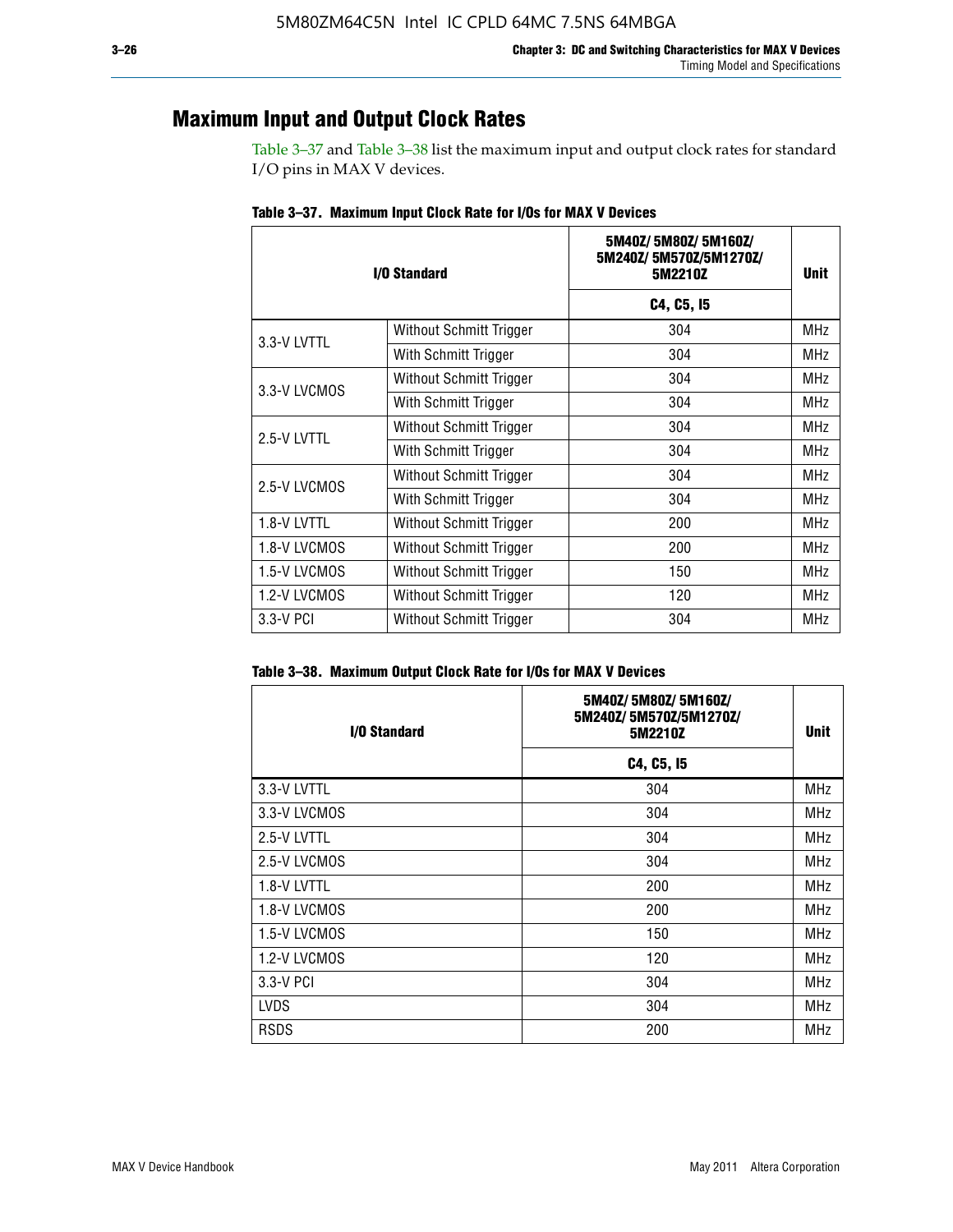### **Maximum Input and Output Clock Rates**

Table 3–37 and Table 3–38 list the maximum input and output clock rates for standard I/O pins in MAX V devices.

| I/O Standard |                         | 5M40Z/5M80Z/5M160Z/<br>5M240Z/5M570Z/5M1270Z/<br>5M2210Z | <b>Unit</b> |
|--------------|-------------------------|----------------------------------------------------------|-------------|
|              |                         | C4, C5, I5                                               |             |
| 3.3-V LVTTL  | Without Schmitt Trigger | 304                                                      | <b>MHz</b>  |
|              | With Schmitt Trigger    | 304                                                      | <b>MHz</b>  |
| 3.3-V LVCMOS | Without Schmitt Trigger | 304                                                      | <b>MHz</b>  |
|              | With Schmitt Trigger    | 304                                                      | <b>MHz</b>  |
| 2.5-V LVTTL  | Without Schmitt Trigger | 304                                                      | <b>MHz</b>  |
|              | With Schmitt Trigger    | 304                                                      | MHz         |
| 2.5-V LVCMOS | Without Schmitt Trigger | 304                                                      | <b>MHz</b>  |
|              | With Schmitt Trigger    | 304                                                      | <b>MHz</b>  |
| 1.8-V LVTTL  | Without Schmitt Trigger | 200                                                      | <b>MHz</b>  |
| 1.8-V LVCMOS | Without Schmitt Trigger | 200                                                      | <b>MHz</b>  |
| 1.5-V LVCMOS | Without Schmitt Trigger | 150                                                      | MHz         |
| 1.2-V LVCMOS | Without Schmitt Trigger | 120                                                      | <b>MHz</b>  |
| 3.3-V PCI    | Without Schmitt Trigger | 304                                                      | <b>MHz</b>  |

**Table 3–37. Maximum Input Clock Rate for I/Os for MAX V Devices**

| Table 3–38. Maximum Output Clock Rate for I/Os for MAX V Devices |  |  |  |  |  |  |  |  |  |  |
|------------------------------------------------------------------|--|--|--|--|--|--|--|--|--|--|
|------------------------------------------------------------------|--|--|--|--|--|--|--|--|--|--|

| <b>I/O Standard</b> | 5M40Z/5M80Z/5M160Z/<br>5M240Z/5M570Z/5M1270Z/<br>5M2210Z | <b>Unit</b> |
|---------------------|----------------------------------------------------------|-------------|
|                     | C4, C5, I5                                               |             |
| 3.3-V LVTTL         | 304                                                      | <b>MHz</b>  |
| 3.3-V LVCMOS        | 304                                                      | MHz         |
| 2.5-V LVTTL         | 304                                                      | <b>MHz</b>  |
| 2.5-V LVCMOS        | 304                                                      | <b>MHz</b>  |
| 1.8-V LVTTL         | 200                                                      | <b>MHz</b>  |
| 1.8-V LVCMOS        | 200                                                      | <b>MHz</b>  |
| 1.5-V LVCMOS        | 150                                                      | <b>MHz</b>  |
| 1.2-V LVCMOS        | 120                                                      | <b>MHz</b>  |
| 3.3-V PCI           | 304                                                      | <b>MHz</b>  |
| <b>LVDS</b>         | 304                                                      | <b>MHz</b>  |
| <b>RSDS</b>         | 200                                                      | <b>MHz</b>  |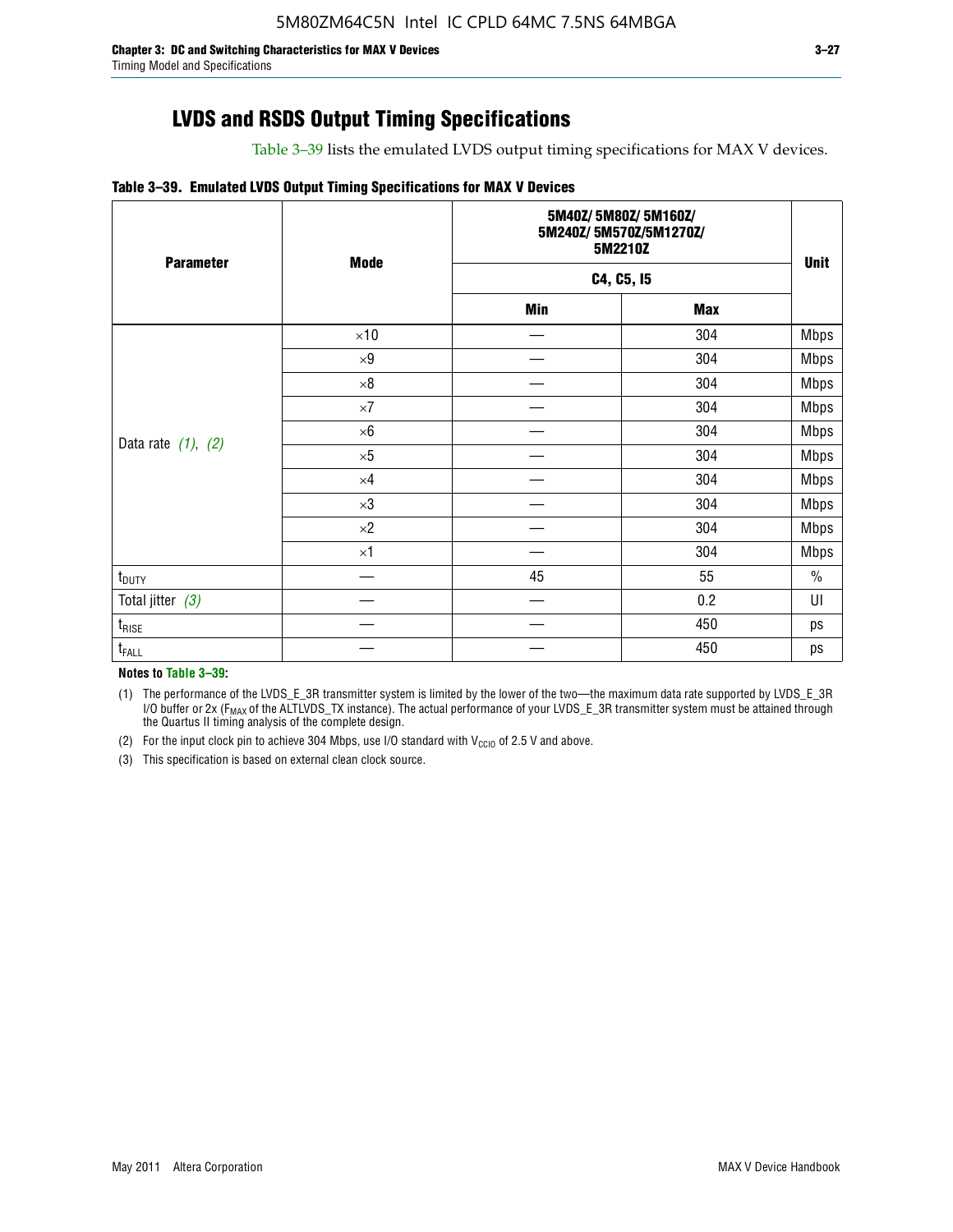# **LVDS and RSDS Output Timing Specifications**

Table 3–39 lists the emulated LVDS output timing specifications for MAX V devices.

#### **Table 3–39. Emulated LVDS Output Timing Specifications for MAX V Devices**

| <b>Parameter</b>        | <b>Mode</b> |            | 5M40Z/5M80Z/5M160Z/<br>5M240Z/5M570Z/5M1270Z/<br>5M2210Z<br>C4, C5, I5 |             |  |  |  |
|-------------------------|-------------|------------|------------------------------------------------------------------------|-------------|--|--|--|
|                         |             |            |                                                                        |             |  |  |  |
|                         |             | <b>Min</b> | <b>Max</b>                                                             |             |  |  |  |
|                         | $\times 10$ |            | 304                                                                    | Mbps        |  |  |  |
|                         | $\times 9$  |            | 304                                                                    | Mbps        |  |  |  |
|                         | $\times 8$  |            | 304                                                                    | <b>Mbps</b> |  |  |  |
|                         | $\times 7$  |            | 304                                                                    | <b>Mbps</b> |  |  |  |
|                         | $\times 6$  |            | 304                                                                    | <b>Mbps</b> |  |  |  |
| Data rate $(1)$ , $(2)$ | $\times 5$  |            | 304                                                                    | <b>Mbps</b> |  |  |  |
|                         | $\times 4$  |            | 304                                                                    | <b>Mbps</b> |  |  |  |
|                         | $\times 3$  |            | 304                                                                    | <b>Mbps</b> |  |  |  |
|                         | $\times 2$  |            | 304                                                                    | <b>Mbps</b> |  |  |  |
|                         | $\times$ 1  |            | 304                                                                    | <b>Mbps</b> |  |  |  |
| $t_{\text{DUTY}}$       |             | 45         | 55                                                                     | $\%$        |  |  |  |
| Total jitter $(3)$      |             |            | 0.2                                                                    | UI          |  |  |  |
| $t_{\text{RISE}}$       |             |            | 450                                                                    | ps          |  |  |  |
| $t_{FALL}$              |             |            | 450                                                                    | ps          |  |  |  |

**Notes to Table 3–39:**

(1) The performance of the LVDS\_E\_3R transmitter system is limited by the lower of the two—the maximum data rate supported by LVDS\_E\_3R I/O buffer or 2x (F<sub>MAX</sub> of the ALTLVDS\_TX instance). The actual performance of your LVDS\_E\_3R transmitter system must be attained through the Quartus II timing analysis of the complete design.

(2) For the input clock pin to achieve 304 Mbps, use I/O standard with  $V_{\text{CCIO}}$  of 2.5 V and above.

(3) This specification is based on external clean clock source.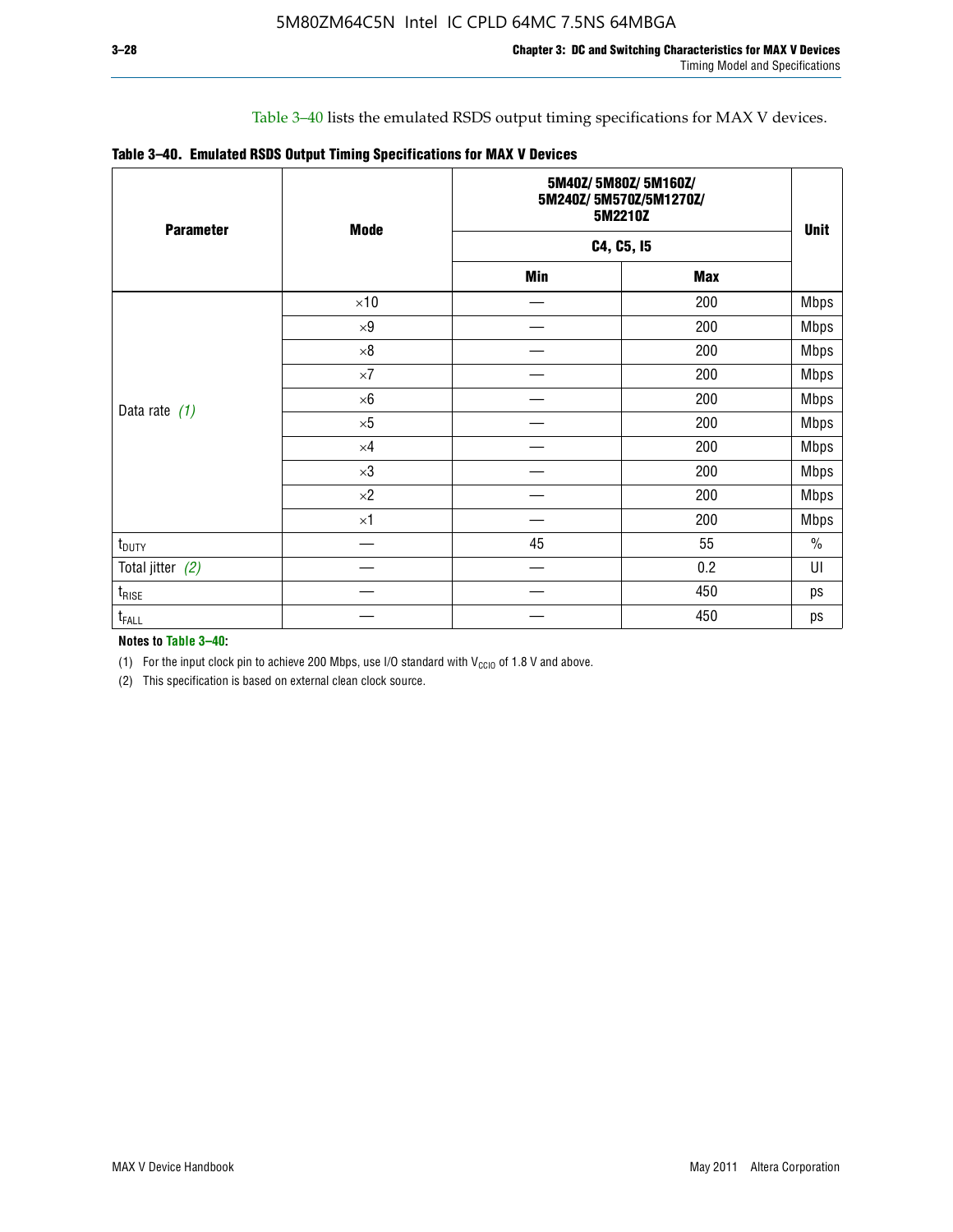### Table 3–40 lists the emulated RSDS output timing specifications for MAX V devices.

| Table 3-40. Emulated RSDS Output Timing Specifications for MAX V Devices |  |
|--------------------------------------------------------------------------|--|
|--------------------------------------------------------------------------|--|

| <b>Parameter</b>   | <b>Mode</b> |            | 5M40Z/5M80Z/5M160Z/<br>5M240Z/5M570Z/5M1270Z/<br>5M2210Z<br>C4, C5, I5 |             |  |  |  |
|--------------------|-------------|------------|------------------------------------------------------------------------|-------------|--|--|--|
|                    |             |            |                                                                        |             |  |  |  |
|                    |             | <b>Min</b> | <b>Max</b>                                                             |             |  |  |  |
|                    | $\times 10$ |            | 200                                                                    | <b>Mbps</b> |  |  |  |
|                    | $\times 9$  |            | 200                                                                    | <b>Mbps</b> |  |  |  |
|                    | $\times 8$  |            | 200                                                                    | <b>Mbps</b> |  |  |  |
|                    | $\times 7$  |            | 200                                                                    | <b>Mbps</b> |  |  |  |
|                    | $\times 6$  |            | 200                                                                    | <b>Mbps</b> |  |  |  |
| Data rate $(1)$    | $\times 5$  |            | 200                                                                    | <b>Mbps</b> |  |  |  |
|                    | $\times 4$  |            | 200                                                                    | <b>Mbps</b> |  |  |  |
|                    | $\times 3$  |            | 200                                                                    | <b>Mbps</b> |  |  |  |
|                    | $\times 2$  |            | 200                                                                    | <b>Mbps</b> |  |  |  |
|                    | $\times 1$  |            | 200                                                                    | <b>Mbps</b> |  |  |  |
| $t_{\text{DUTY}}$  |             | 45         | 55                                                                     | $\%$        |  |  |  |
| Total jitter $(2)$ |             |            | 0.2                                                                    | UI          |  |  |  |
| $t_{\rm RISE}$     |             |            | 450                                                                    | ps          |  |  |  |
| $t_{FALL}$         |             |            | 450                                                                    | ps          |  |  |  |

**Notes to Table 3–40:**

(1) For the input clock pin to achieve 200 Mbps, use I/O standard with  $V_{\text{CCIO}}$  of 1.8 V and above.

(2) This specification is based on external clean clock source.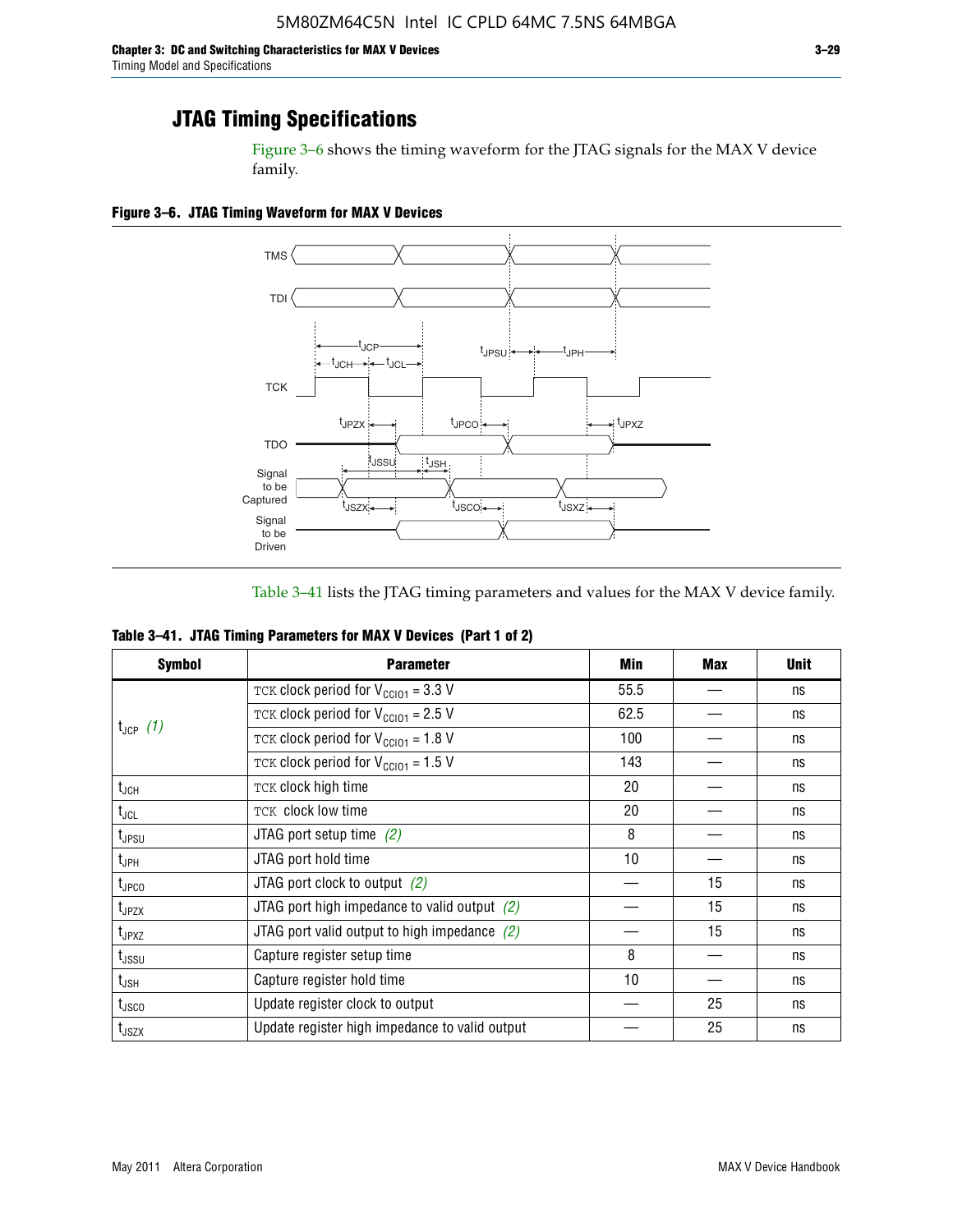Figure 3–6 shows the timing waveform for the JTAG signals for the MAX V device family.

**Figure 3–6. JTAG Timing Waveform for MAX V Devices**



Table 3–41 lists the JTAG timing parameters and values for the MAX V device family.

| Table 3-41. JTAG Timing Parameters for MAX V Devices (Part 1 of 2) |  |  |
|--------------------------------------------------------------------|--|--|
|                                                                    |  |  |

| <b>Symbol</b>                                                                                                                                                                                                                                                                                                                                                                                                                                                          | <b>Parameter</b>                                | Min             | <b>Max</b> | <b>Unit</b> |
|------------------------------------------------------------------------------------------------------------------------------------------------------------------------------------------------------------------------------------------------------------------------------------------------------------------------------------------------------------------------------------------------------------------------------------------------------------------------|-------------------------------------------------|-----------------|------------|-------------|
|                                                                                                                                                                                                                                                                                                                                                                                                                                                                        | TCK clock period for $V_{CCIO1} = 3.3 V$        | 55.5            |            | ns          |
|                                                                                                                                                                                                                                                                                                                                                                                                                                                                        | TCK clock period for $V_{\text{CC101}} = 2.5$ V | 62.5            |            | ns          |
| $t_{JCP}$ (1)<br>TCK clock period for $V_{CC101} = 1.8 V$<br>TCK clock period for $V_{CC101} = 1.5 V$<br>TCK clock high time<br>$t_{JCH}$<br>TCK clock low time<br>$t_{\sf JCL}$<br>JTAG port setup time $(2)$<br>t <sub>JPSU</sub><br>JTAG port hold time<br>t <sub>JPH</sub><br>JTAG port clock to output $(2)$<br>$t_{\text{JPCO}}$<br>JTAG port high impedance to valid output $(2)$<br>$t_{JPZX}$<br>JTAG port valid output to high impedance $(2)$<br>$t_{JPXZ}$ |                                                 | 100             |            | ns          |
|                                                                                                                                                                                                                                                                                                                                                                                                                                                                        | 143                                             |                 | ns         |             |
|                                                                                                                                                                                                                                                                                                                                                                                                                                                                        |                                                 | 20              |            | ns          |
|                                                                                                                                                                                                                                                                                                                                                                                                                                                                        |                                                 | 20              |            | ns          |
|                                                                                                                                                                                                                                                                                                                                                                                                                                                                        |                                                 | 8               |            | ns          |
|                                                                                                                                                                                                                                                                                                                                                                                                                                                                        |                                                 | 10 <sup>1</sup> |            | ns          |
|                                                                                                                                                                                                                                                                                                                                                                                                                                                                        |                                                 |                 | 15         | ns          |
|                                                                                                                                                                                                                                                                                                                                                                                                                                                                        |                                                 |                 | 15         | ns          |
|                                                                                                                                                                                                                                                                                                                                                                                                                                                                        |                                                 |                 | 15         | ns          |
| t <sub>JSSU</sub>                                                                                                                                                                                                                                                                                                                                                                                                                                                      | Capture register setup time                     | 8               |            | ns          |
| t <sub>JSH</sub>                                                                                                                                                                                                                                                                                                                                                                                                                                                       | Capture register hold time                      | 10              |            | ns          |
| t <sub>usco</sub>                                                                                                                                                                                                                                                                                                                                                                                                                                                      | Update register clock to output                 |                 | 25         | ns          |
| $t_{\text{JSZX}}$                                                                                                                                                                                                                                                                                                                                                                                                                                                      | Update register high impedance to valid output  |                 | 25         | ns          |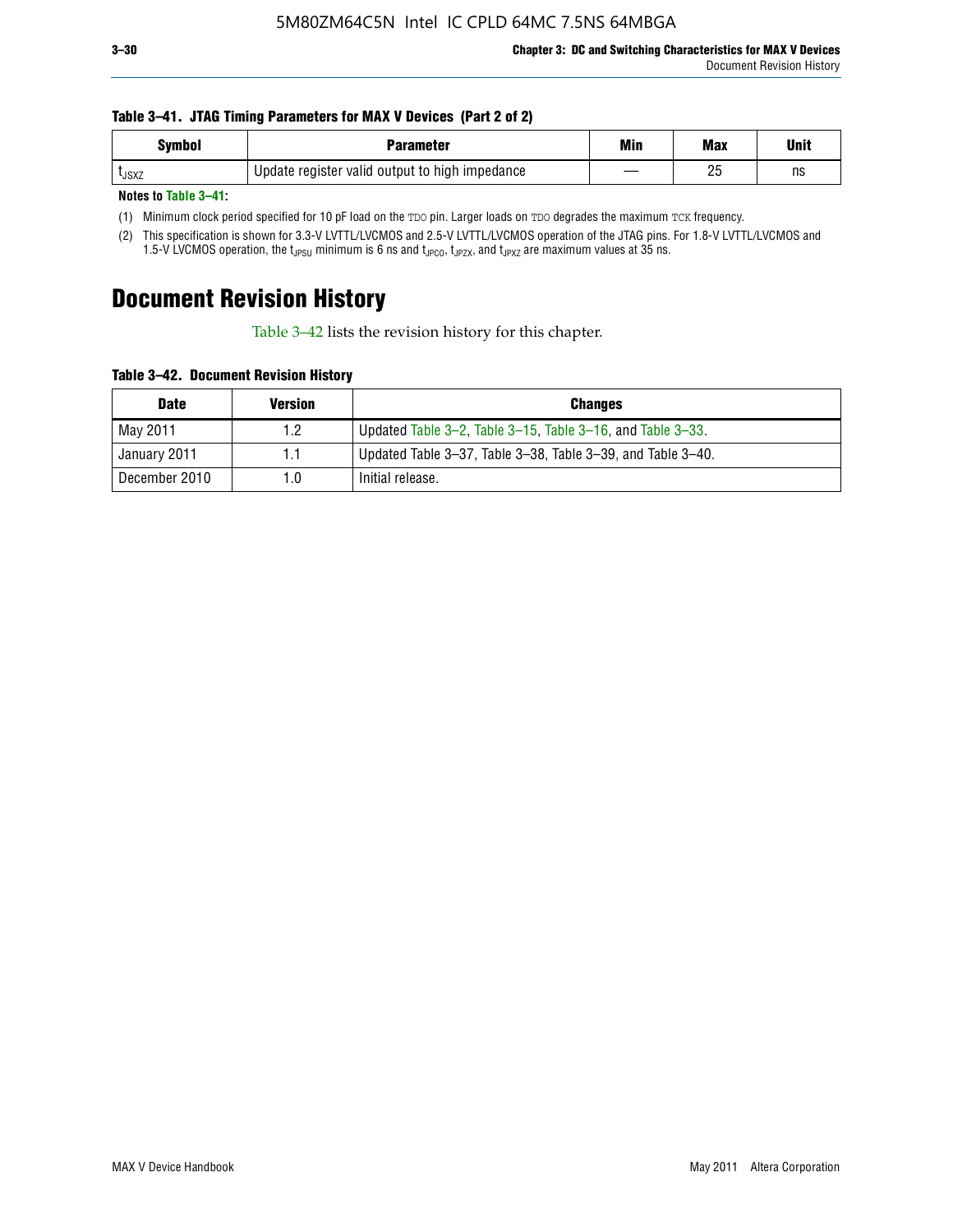#### **Table 3–41. JTAG Timing Parameters for MAX V Devices (Part 2 of 2)**

| <b>Symbol</b> | Parameter                                      | Min | <b>Max</b> | Unit |
|---------------|------------------------------------------------|-----|------------|------|
| <b>L</b> JSXZ | Update register valid output to high impedance |     | りに<br>۷J   | ns   |

**Notes to Table 3–41:**

(1) Minimum clock period specified for 10 pF load on the TDO pin. Larger loads on TDO degrades the maximum TCK frequency.

(2) This specification is shown for 3.3-V LVTTL/LVCMOS and 2.5-V LVTTL/LVCMOS operation of the JTAG pins. For 1.8-V LVTTL/LVCMOS and 1.5-V LVCMOS operation, the t<sub>JPSU</sub> minimum is 6 ns and t<sub>JPCO</sub>, t<sub>JPZX</sub>, and t<sub>JPXZ</sub> are maximum values at 35 ns.

# **Document Revision History**

Table 3–42 lists the revision history for this chapter.

**Table 3–42. Document Revision History**

| <b>Date</b>   | <b>Version</b> | <b>Changes</b>                                              |
|---------------|----------------|-------------------------------------------------------------|
| May 2011      | 1.2            | Updated Table 3–2, Table 3–15, Table 3–16, and Table 3–33.  |
| January 2011  | 1.1            | Updated Table 3–37, Table 3–38, Table 3–39, and Table 3–40. |
| December 2010 | 1.0            | Initial release.                                            |